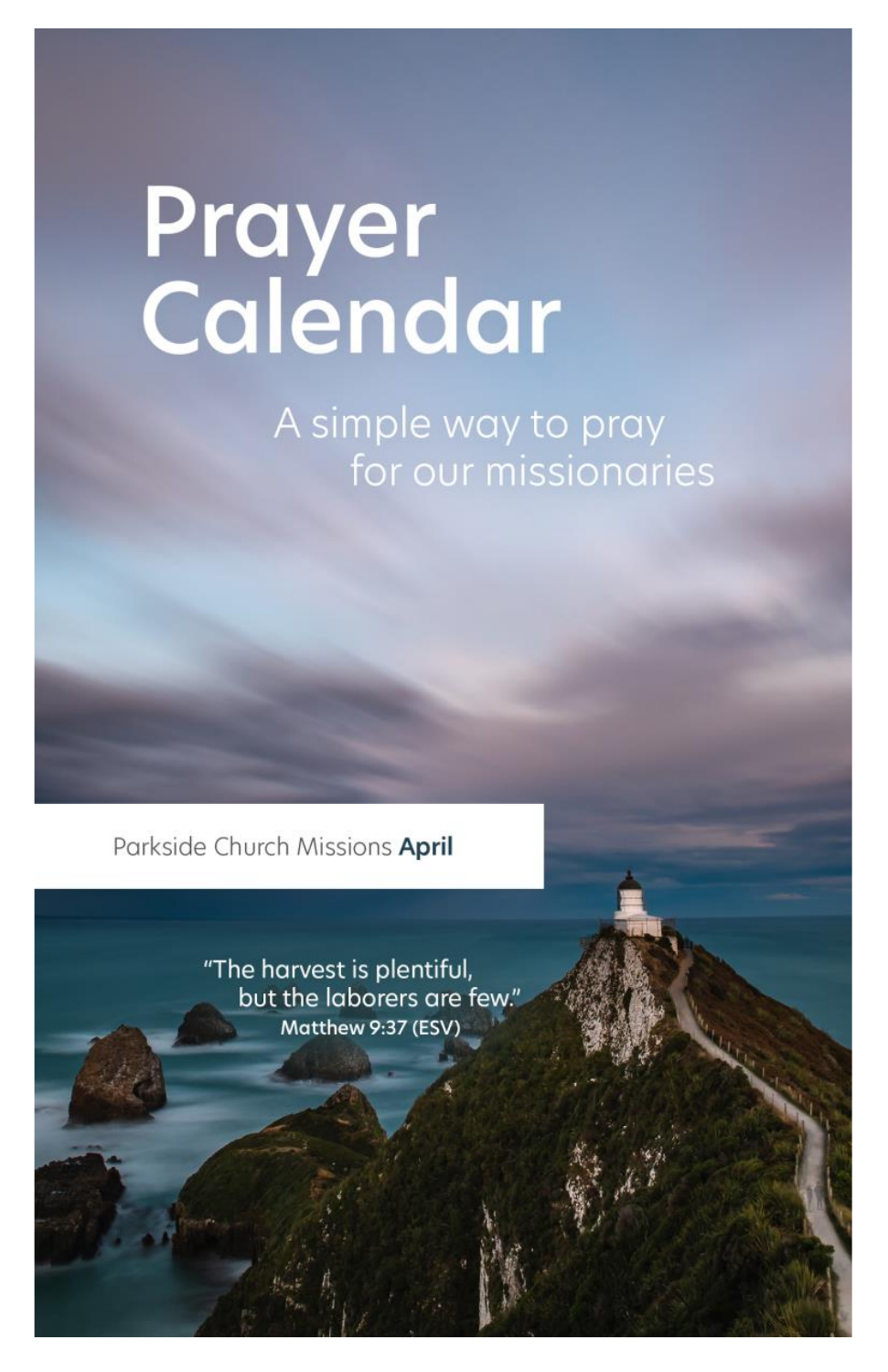# Prayer<br>Calendar

A simple way to pray for our missionaries

Parkside Church Missions April

"The harvest is plentiful, but the laborers are few." Matthew 9:37 (ESV)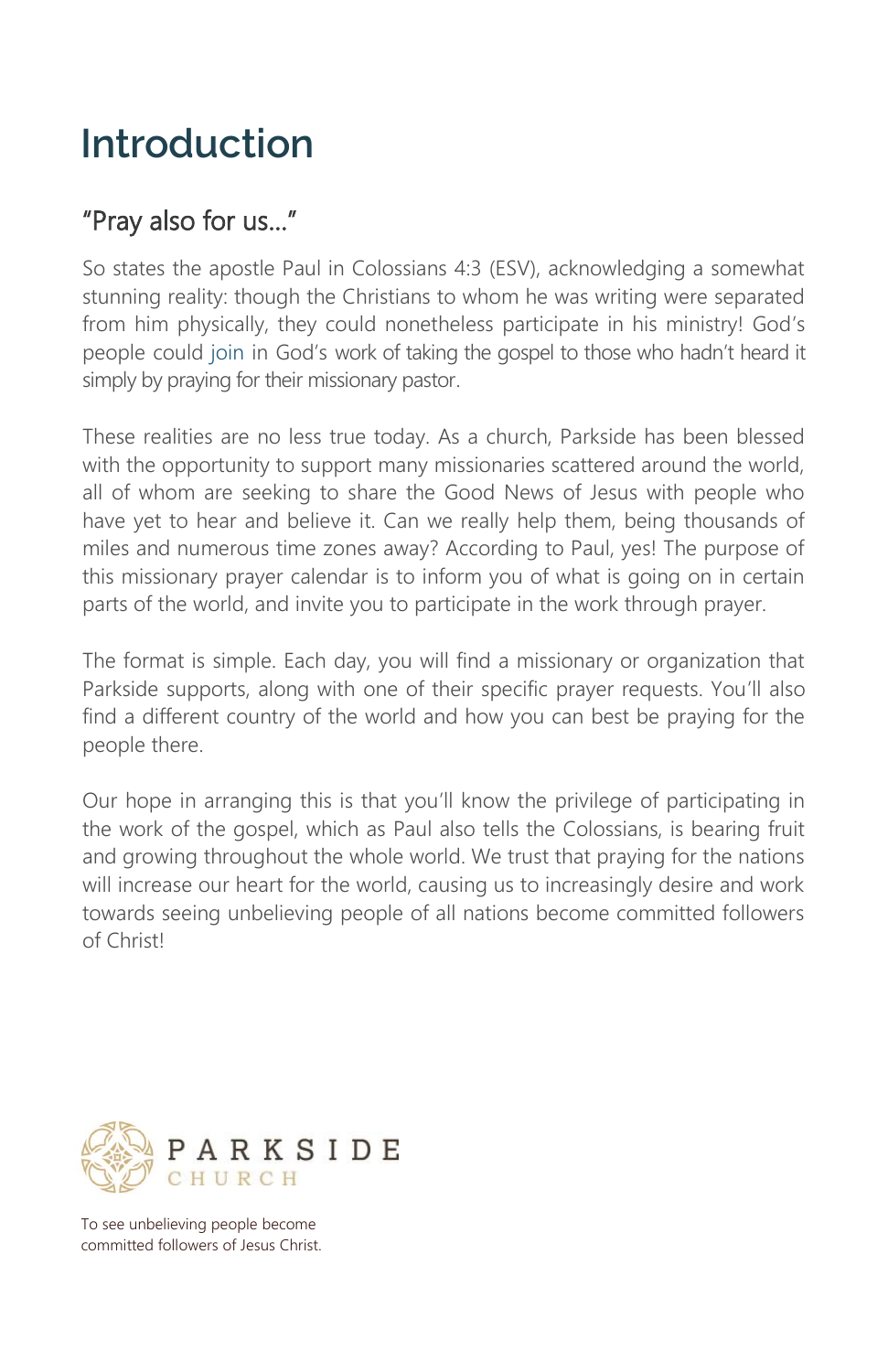# **Introduction**

### "Pray also for us…"

So states the apostle Paul in Colossians 4:3 (ESV), acknowledging a somewhat stunning reality: though the Christians to whom he was writing were separated from him physically, they could nonetheless participate in his ministry! God's people could join in God's work of taking the gospel to those who hadn't heard it simply by praying for their missionary pastor.

These realities are no less true today. As a church, Parkside has been blessed with the opportunity to support many missionaries scattered around the world, all of whom are seeking to share the Good News of Jesus with people who have yet to hear and believe it. Can we really help them, being thousands of miles and numerous time zones away? According to Paul, yes! The purpose of this missionary prayer calendar is to inform you of what is going on in certain parts of the world, and invite you to participate in the work through prayer.

The format is simple. Each day, you will find a missionary or organization that Parkside supports, along with one of their specific prayer requests. You'll also find a different country of the world and how you can best be praying for the people there.

Our hope in arranging this is that you'll know the privilege of participating in the work of the gospel, which as Paul also tells the Colossians, is bearing fruit and growing throughout the whole world. We trust that praying for the nations will increase our heart for the world, causing us to increasingly desire and work towards seeing unbelieving people of all nations become committed followers of Christ!



To see unbelieving people become committed followers of Jesus Christ.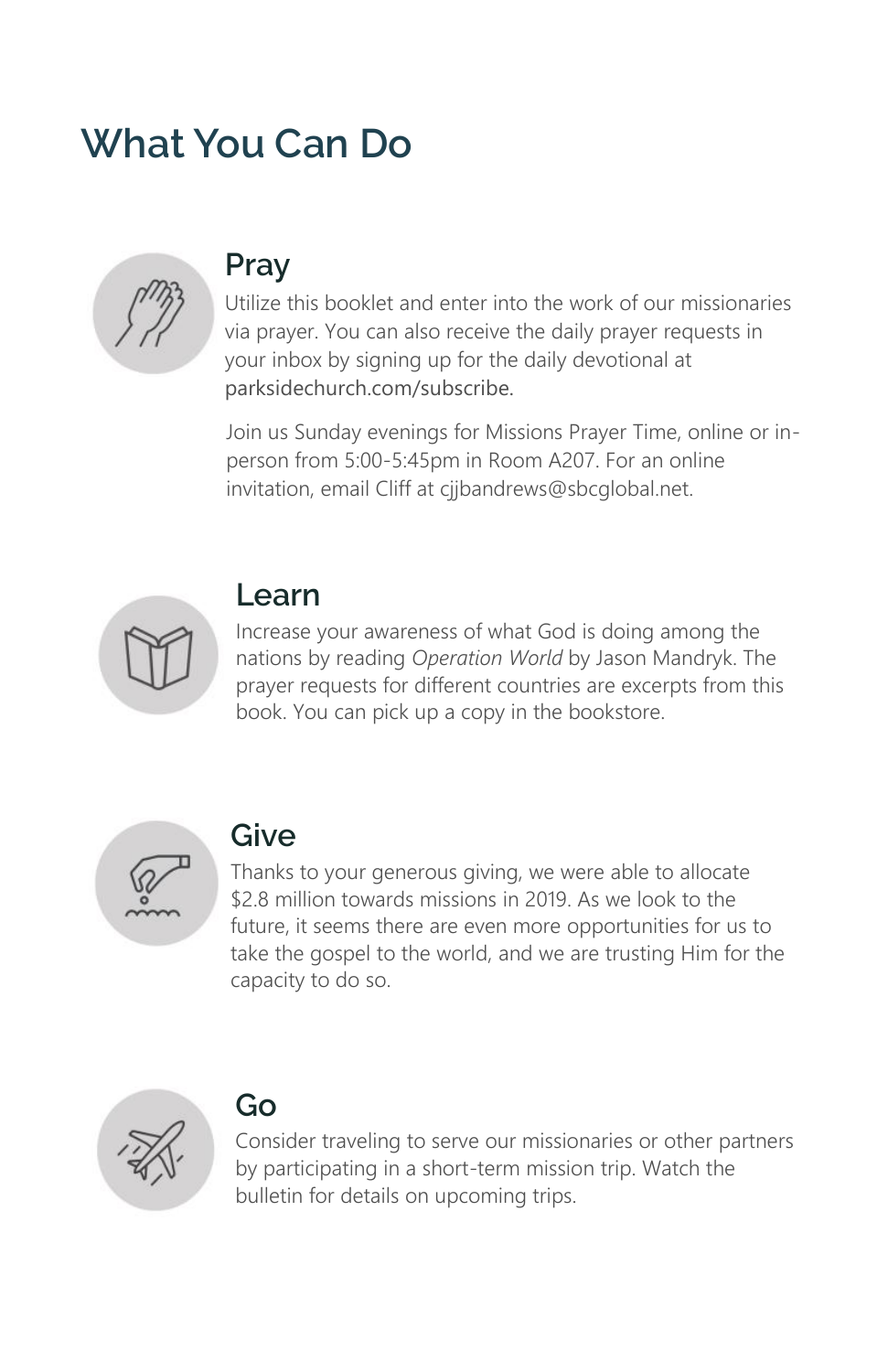# **What You Can Do**



## **Pray**

Utilize this booklet and enter into the work of our missionaries via prayer. You can also receive the daily prayer requests in your inbox by signing up for the daily devotional at parksidechurch.com/subscribe.

Join us Sunday evenings for Missions Prayer Time, online or inperson from 5:00-5:45pm in Room A207. For an online invitation, email Cliff at ciibandrews@sbcglobal.net.



### **Learn**

Increase your awareness of what God is doing among the nations by reading *Operation World* by Jason Mandryk. The prayer requests for different countries are excerpts from this book. You can pick up a copy in the bookstore.



## **Give**

Thanks to your generous giving, we were able to allocate \$2.8 million towards missions in 2019. As we look to the future, it seems there are even more opportunities for us to take the gospel to the world, and we are trusting Him for the capacity to do so.



## **Go**

Consider traveling to serve our missionaries or other partners by participating in a short-term mission trip. Watch the bulletin for details on upcoming trips.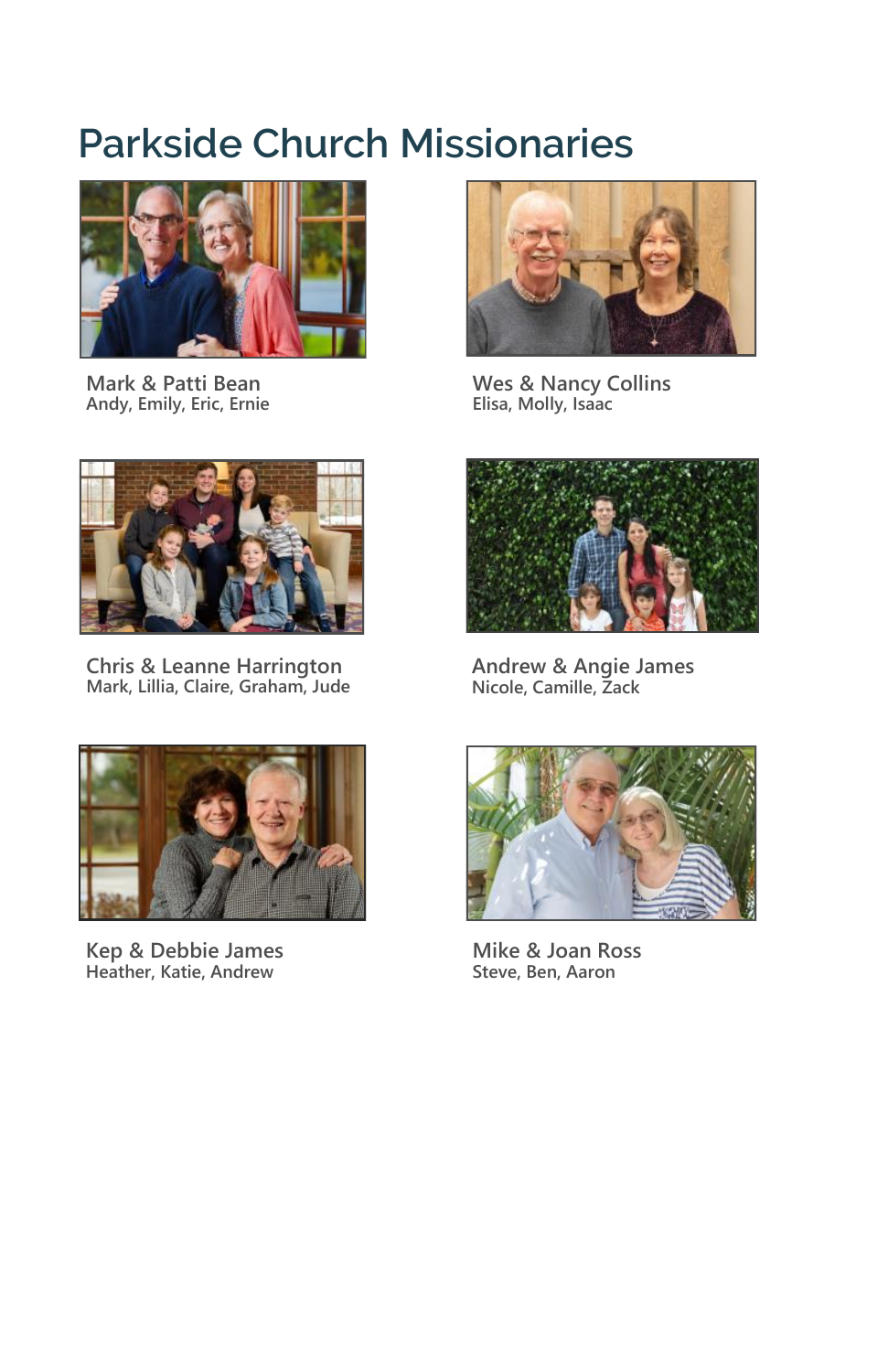# **Parkside Church Missionaries**



**Mark & Patti Bean Andy, Emily, Eric, Ernie**



**Chris & Leanne Harrington Mark, Lillia, Claire, Graham, Jude**



**Kep & Debbie James Heather, Katie, Andrew**



**Wes & Nancy Collins Elisa, Molly, Isaac**



**Andrew & Angie James Nicole, Camille, Zack**



**Mike & Joan Ross Steve, Ben, Aaron**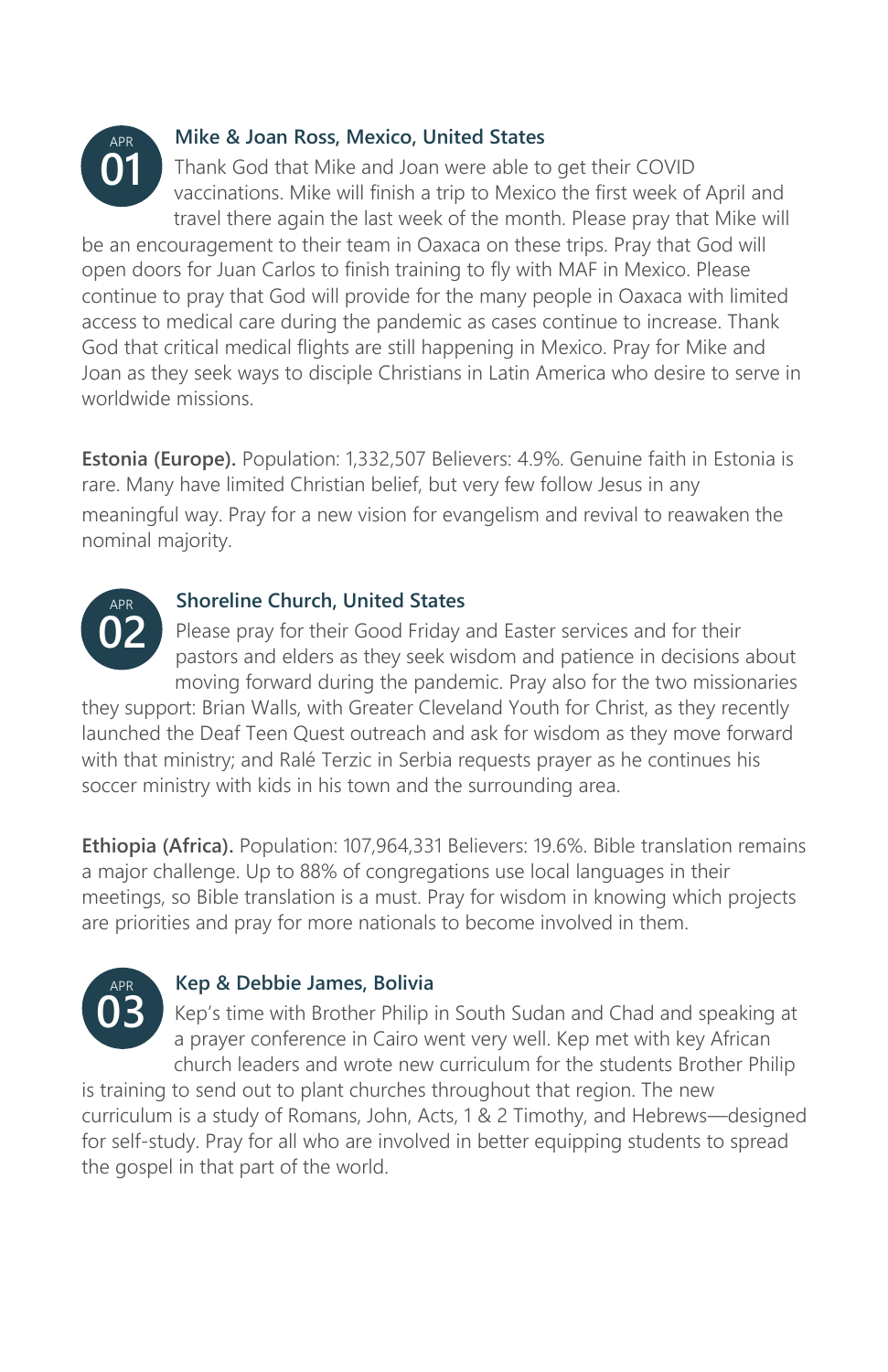

### **Mike & Joan Ross, Mexico, United States**

Thank God that Mike and Joan were able to get their COVID vaccinations. Mike will finish a trip to Mexico the first week of April and travel there again the last week of the month. Please pray that Mike will

be an encouragement to their team in Oaxaca on these trips. Pray that God will open doors for Juan Carlos to finish training to fly with MAF in Mexico. Please continue to pray that God will provide for the many people in Oaxaca with limited access to medical care during the pandemic as cases continue to increase. Thank God that critical medical flights are still happening in Mexico. Pray for Mike and Joan as they seek ways to disciple Christians in Latin America who desire to serve in worldwide missions.

**Estonia (Europe).** Population: 1,332,507 Believers: 4.9%. Genuine faith in Estonia is rare. Many have limited Christian belief, but very few follow Jesus in any meaningful way. Pray for a new vision for evangelism and revival to reawaken the nominal majority.



### **Shoreline Church, United States**

Please pray for their Good Friday and Easter services and for their pastors and elders as they seek wisdom and patience in decisions about moving forward during the pandemic. Pray also for the two missionaries

they support: Brian Walls, with Greater Cleveland Youth for Christ, as they recently launched the Deaf Teen Quest outreach and ask for wisdom as they move forward with that ministry; and Ralé Terzic in Serbia requests prayer as he continues his soccer ministry with kids in his town and the surrounding area.

**Ethiopia (Africa).** Population: 107,964,331 Believers: 19.6%. Bible translation remains a major challenge. Up to 88% of congregations use local languages in their meetings, so Bible translation is a must. Pray for wisdom in knowing which projects are priorities and pray for more nationals to become involved in them.



### **Kep & Debbie James, Bolivia**

Kep's time with Brother Philip in South Sudan and Chad and speaking at a prayer conference in Cairo went very well. Kep met with key African church leaders and wrote new curriculum for the students Brother Philip

is training to send out to plant churches throughout that region. The new curriculum is a study of Romans, John, Acts, 1 & 2 Timothy, and Hebrews—designed for self-study. Pray for all who are involved in better equipping students to spread the gospel in that part of the world.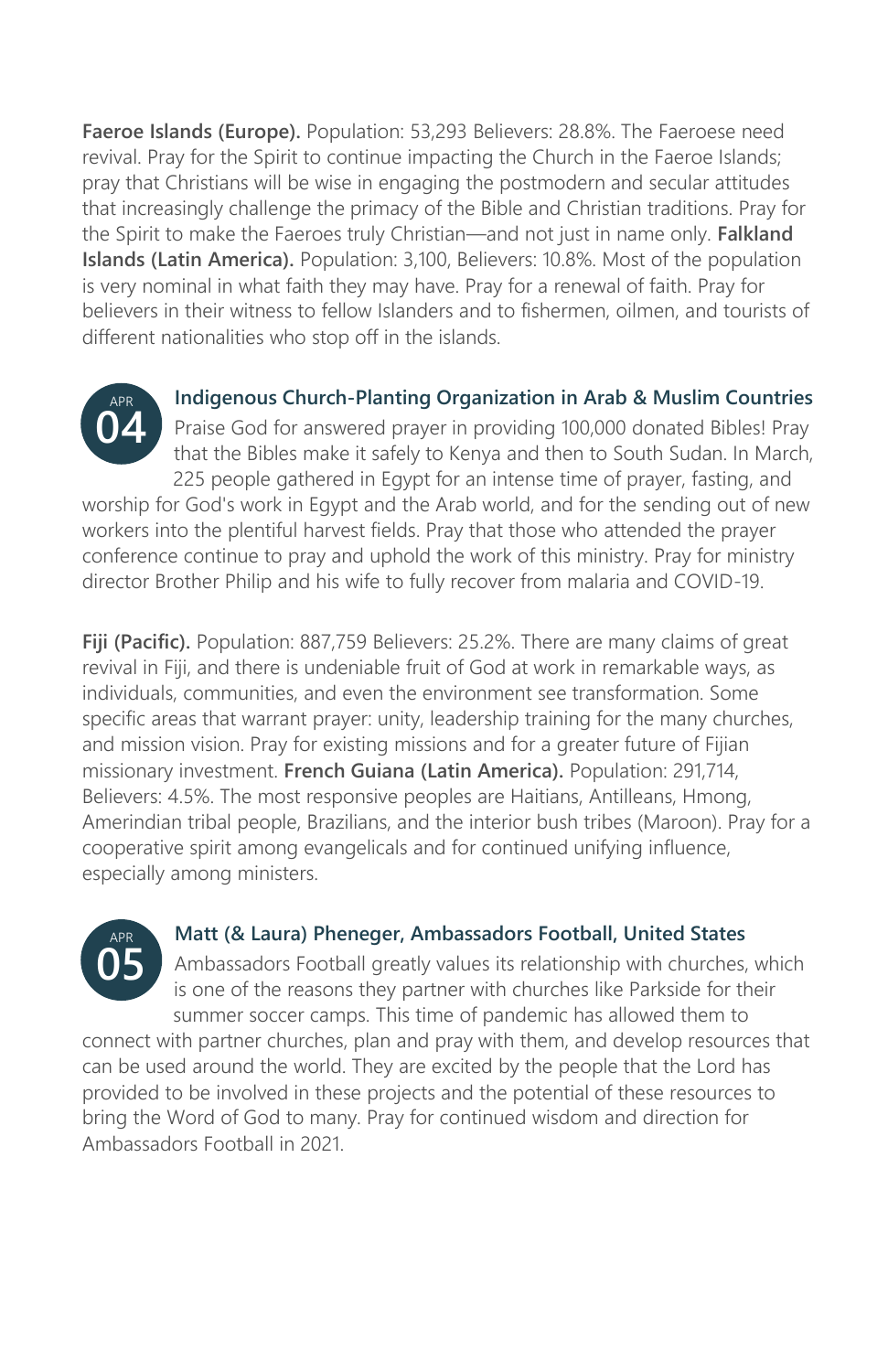**Faeroe Islands (Europe).** Population: 53,293 Believers: 28.8%. The Faeroese need revival. Pray for the Spirit to continue impacting the Church in the Faeroe Islands; pray that Christians will be wise in engaging the postmodern and secular attitudes that increasingly challenge the primacy of the Bible and Christian traditions. Pray for the Spirit to make the Faeroes truly Christian—and not just in name only. **Falkland Islands (Latin America).** Population: 3,100, Believers: 10.8%. Most of the population is very nominal in what faith they may have. Pray for a renewal of faith. Pray for believers in their witness to fellow Islanders and to fishermen, oilmen, and tourists of different nationalities who stop off in the islands.



**Indigenous Church-Planting Organization in Arab & Muslim Countries** Praise God for answered prayer in providing 100,000 donated Bibles! Pray that the Bibles make it safely to Kenya and then to South Sudan. In March, 225 people gathered in Egypt for an intense time of prayer, fasting, and

worship for God's work in Egypt and the Arab world, and for the sending out of new workers into the plentiful harvest fields. Pray that those who attended the prayer conference continue to pray and uphold the work of this ministry. Pray for ministry director Brother Philip and his wife to fully recover from malaria and COVID-19.

Fiji (Pacific). Population: 887,759 Believers: 25.2%. There are many claims of great revival in Fiji, and there is undeniable fruit of God at work in remarkable ways, as individuals, communities, and even the environment see transformation. Some specific areas that warrant prayer: unity, leadership training for the many churches, and mission vision. Pray for existing missions and for a greater future of Fijian missionary investment. **French Guiana (Latin America).** Population: 291,714, Believers: 4.5%. The most responsive peoples are Haitians, Antilleans, Hmong, Amerindian tribal people, Brazilians, and the interior bush tribes (Maroon). Pray for a cooperative spirit among evangelicals and for continued unifying influence, especially among ministers.



### **Matt (& Laura) Pheneger, Ambassadors Football, United States**

Ambassadors Football greatly values its relationship with churches, which is one of the reasons they partner with churches like Parkside for their summer soccer camps. This time of pandemic has allowed them to

connect with partner churches, plan and pray with them, and develop resources that can be used around the world. They are excited by the people that the Lord has provided to be involved in these projects and the potential of these resources to bring the Word of God to many. Pray for continued wisdom and direction for Ambassadors Football in 2021.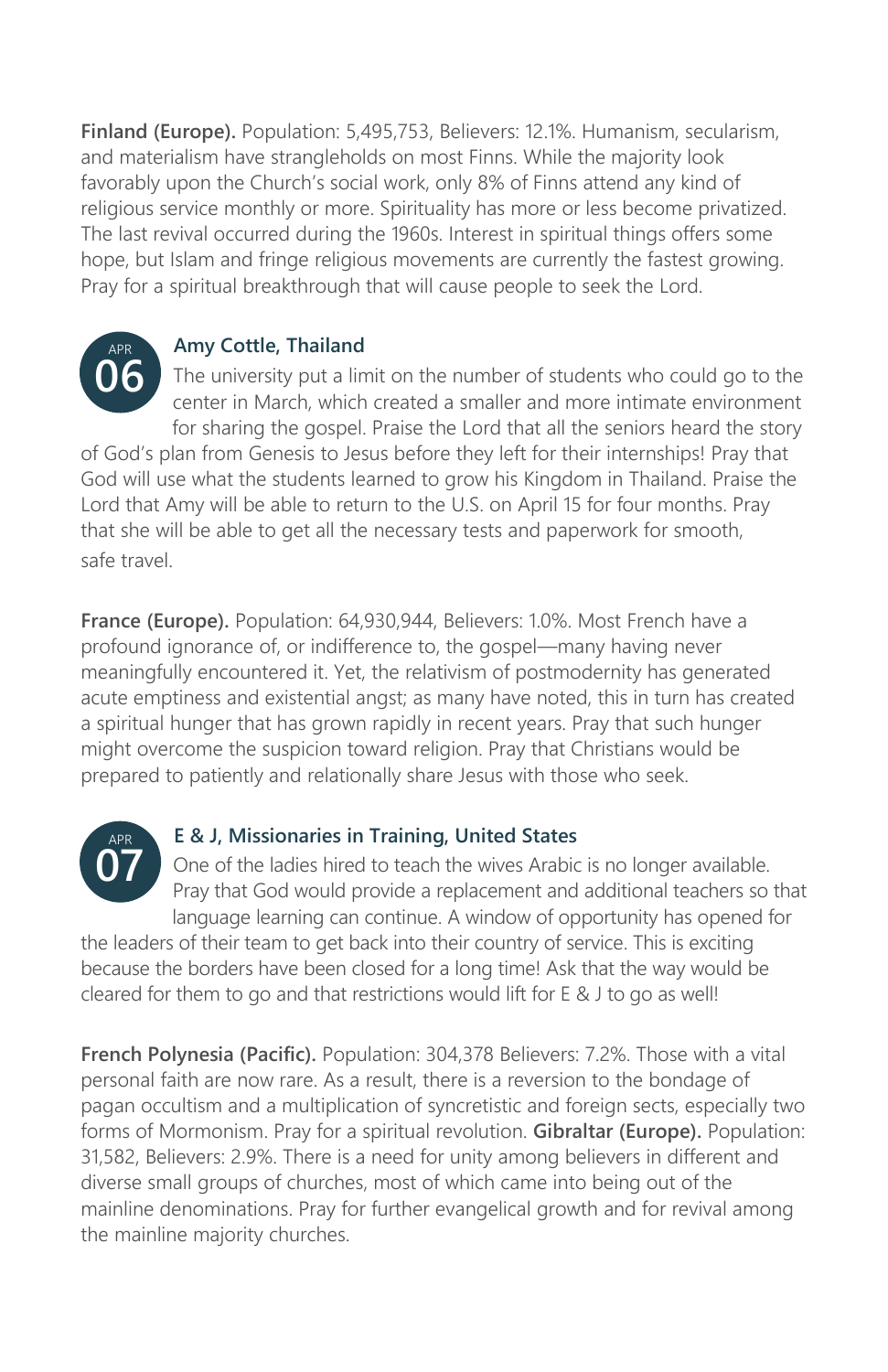**Finland (Europe).** Population: 5,495,753, Believers: 12.1%. Humanism, secularism, and materialism have strangleholds on most Finns. While the majority look favorably upon the Church's social work, only 8% of Finns attend any kind of religious service monthly or more. Spirituality has more or less become privatized. The last revival occurred during the 1960s. Interest in spiritual things offers some hope, but Islam and fringe religious movements are currently the fastest growing. Pray for a spiritual breakthrough that will cause people to seek the Lord.



### **Amy Cottle, Thailand**

The university put a limit on the number of students who could go to the center in March, which created a smaller and more intimate environment for sharing the gospel. Praise the Lord that all the seniors heard the story

of God's plan from Genesis to Jesus before they left for their internships! Pray that God will use what the students learned to grow his Kingdom in Thailand. Praise the Lord that Amy will be able to return to the U.S. on April 15 for four months. Pray that she will be able to get all the necessary tests and paperwork for smooth, safe travel.

**France (Europe).** Population: 64,930,944, Believers: 1.0%. Most French have a profound ignorance of, or indifference to, the gospel—many having never meaningfully encountered it. Yet, the relativism of postmodernity has generated acute emptiness and existential angst; as many have noted, this in turn has created a spiritual hunger that has grown rapidly in recent years. Pray that such hunger might overcome the suspicion toward religion. Pray that Christians would be prepared to patiently and relationally share Jesus with those who seek.



### **E & J, Missionaries in Training, United States**

One of the ladies hired to teach the wives Arabic is no longer available. Pray that God would provide a replacement and additional teachers so that language learning can continue. A window of opportunity has opened for

the leaders of their team to get back into their country of service. This is exciting because the borders have been closed for a long time! Ask that the way would be cleared for them to go and that restrictions would lift for E & J to go as well!

**French Polynesia (Pacific).** Population: 304,378 Believers: 7.2%. Those with a vital personal faith are now rare. As a result, there is a reversion to the bondage of pagan occultism and a multiplication of syncretistic and foreign sects, especially two forms of Mormonism. Pray for a spiritual revolution. **Gibraltar (Europe).** Population: 31,582, Believers: 2.9%. There is a need for unity among believers in different and diverse small groups of churches, most of which came into being out of the mainline denominations. Pray for further evangelical growth and for revival among the mainline majority churches.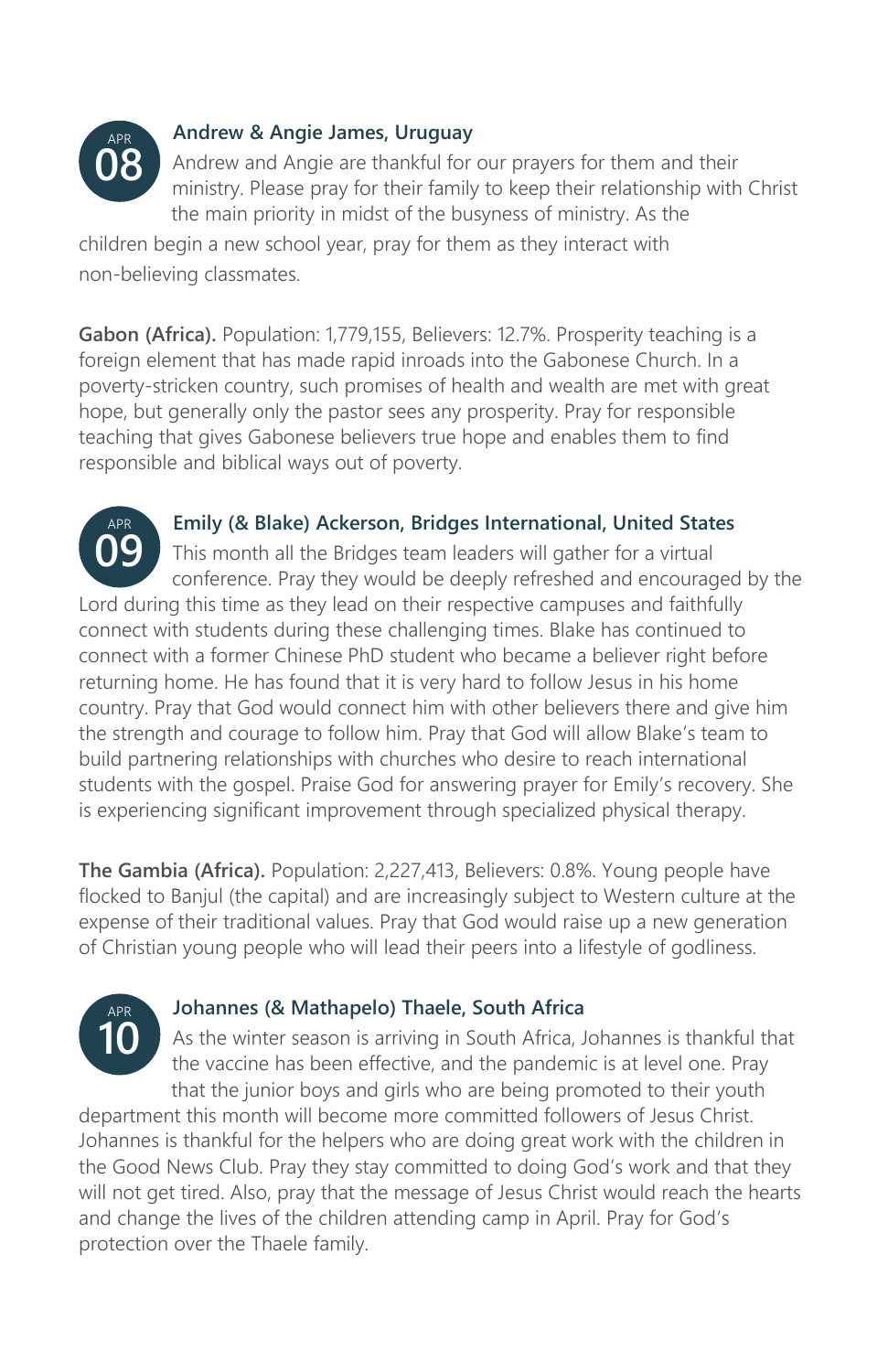

APR

### **Andrew & Angie James, Uruguay**

Andrew and Angie are thankful for our prayers for them and their ministry. Please pray for their family to keep their relationship with Christ the main priority in midst of the busyness of ministry. As the

children begin a new school year, pray for them as they interact with non-believing classmates.

**Gabon (Africa).** Population: 1,779,155, Believers: 12.7%. Prosperity teaching is a foreign element that has made rapid inroads into the Gabonese Church. In a poverty-stricken country, such promises of health and wealth are met with great hope, but generally only the pastor sees any prosperity. Pray for responsible teaching that gives Gabonese believers true hope and enables them to find responsible and biblical ways out of poverty.

### **Emily (& Blake) Ackerson, Bridges International, United States**

This month all the Bridges team leaders will gather for a virtual conference. Pray they would be deeply refreshed and encouraged by the Lord during this time as they lead on their respective campuses and faithfully connect with students during these challenging times. Blake has continued to connect with a former Chinese PhD student who became a believer right before returning home. He has found that it is very hard to follow Jesus in his home country. Pray that God would connect him with other believers there and give him the strength and courage to follow him. Pray that God will allow Blake's team to build partnering relationships with churches who desire to reach international students with the gospel. Praise God for answering prayer for Emily's recovery. She is experiencing significant improvement through specialized physical therapy. **09**

**The Gambia (Africa).** Population: 2,227,413, Believers: 0.8%. Young people have flocked to Banjul (the capital) and are increasingly subject to Western culture at the expense of their traditional values. Pray that God would raise up a new generation of Christian young people who will lead their peers into a lifestyle of godliness.



### **Johannes (& Mathapelo) Thaele, South Africa**

As the winter season is arriving in South Africa, Johannes is thankful that the vaccine has been effective, and the pandemic is at level one. Pray that the junior boys and girls who are being promoted to their youth

department this month will become more committed followers of Jesus Christ. Johannes is thankful for the helpers who are doing great work with the children in the Good News Club. Pray they stay committed to doing God's work and that they will not get tired. Also, pray that the message of Jesus Christ would reach the hearts and change the lives of the children attending camp in April. Pray for God's protection over the Thaele family.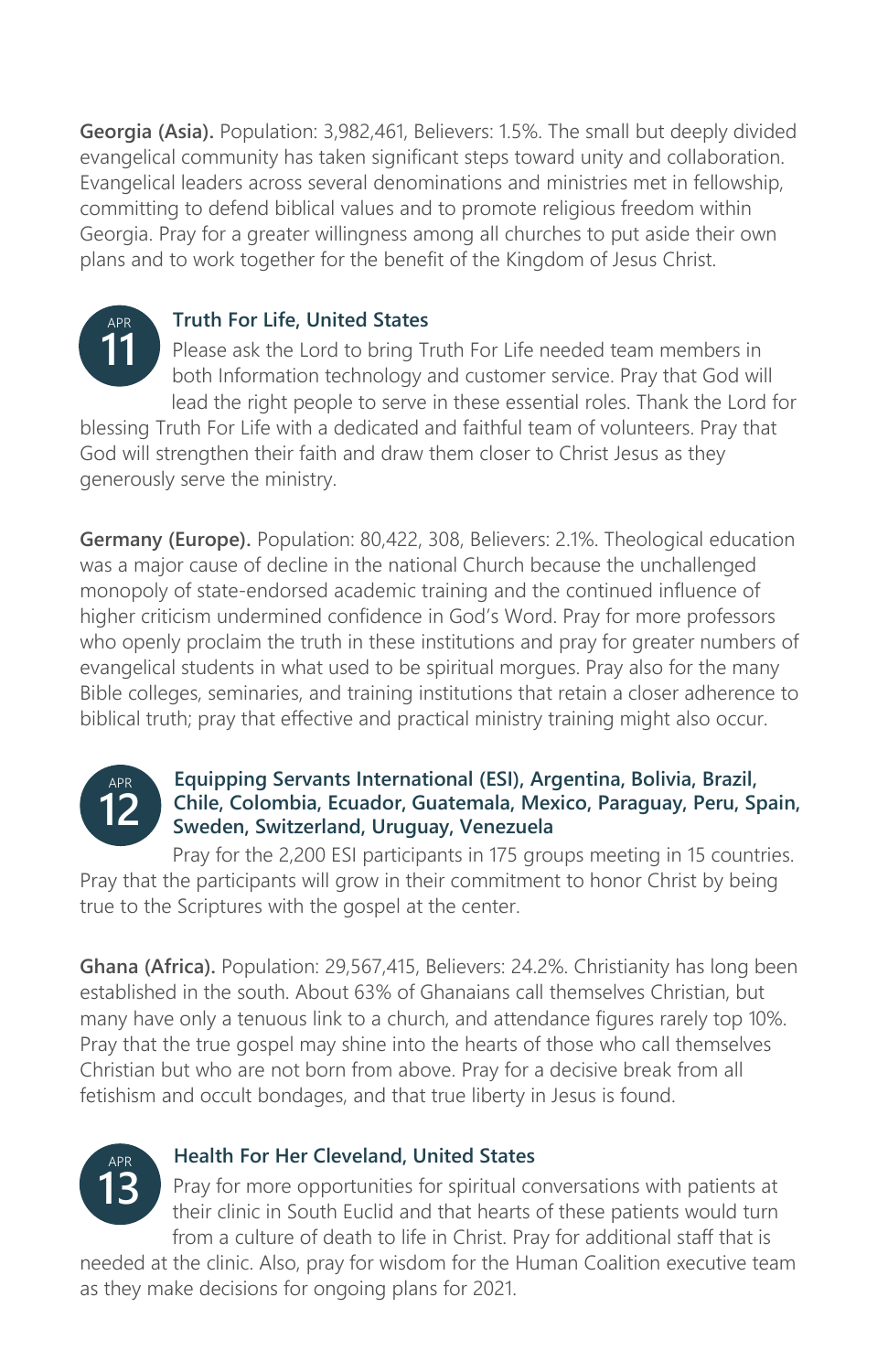**Georgia (Asia).** Population: 3,982,461, Believers: 1.5%. The small but deeply divided evangelical community has taken significant steps toward unity and collaboration. Evangelical leaders across several denominations and ministries met in fellowship, committing to defend biblical values and to promote religious freedom within Georgia. Pray for a greater willingness among all churches to put aside their own plans and to work together for the benefit of the Kingdom of Jesus Christ.



### **Truth For Life, United States**

Please ask the Lord to bring Truth For Life needed team members in both Information technology and customer service. Pray that God will lead the right people to serve in these essential roles. Thank the Lord for

blessing Truth For Life with a dedicated and faithful team of volunteers. Pray that God will strengthen their faith and draw them closer to Christ Jesus as they generously serve the ministry.

**Germany (Europe).** Population: 80,422, 308, Believers: 2.1%. Theological education was a major cause of decline in the national Church because the unchallenged monopoly of state-endorsed academic training and the continued influence of higher criticism undermined confidence in God's Word. Pray for more professors who openly proclaim the truth in these institutions and pray for greater numbers of evangelical students in what used to be spiritual morgues. Pray also for the many Bible colleges, seminaries, and training institutions that retain a closer adherence to biblical truth; pray that effective and practical ministry training might also occur.



### **Equipping Servants International (ESI), Argentina, Bolivia, Brazil, Chile, Colombia, Ecuador, Guatemala, Mexico, Paraguay, Peru, Spain, Sweden, Switzerland, Uruguay, Venezuela**

Pray for the 2,200 ESI participants in 175 groups meeting in 15 countries. Pray that the participants will grow in their commitment to honor Christ by being true to the Scriptures with the gospel at the center.

**Ghana (Africa).** Population: 29,567,415, Believers: 24.2%. Christianity has long been established in the south. About 63% of Ghanaians call themselves Christian, but many have only a tenuous link to a church, and attendance figures rarely top 10%. Pray that the true gospel may shine into the hearts of those who call themselves Christian but who are not born from above. Pray for a decisive break from all fetishism and occult bondages, and that true liberty in Jesus is found.



### **Health For Her Cleveland, United States**

Pray for more opportunities for spiritual conversations with patients at their clinic in South Euclid and that hearts of these patients would turn from a culture of death to life in Christ. Pray for additional staff that is

needed at the clinic. Also, pray for wisdom for the Human Coalition executive team as they make decisions for ongoing plans for 2021.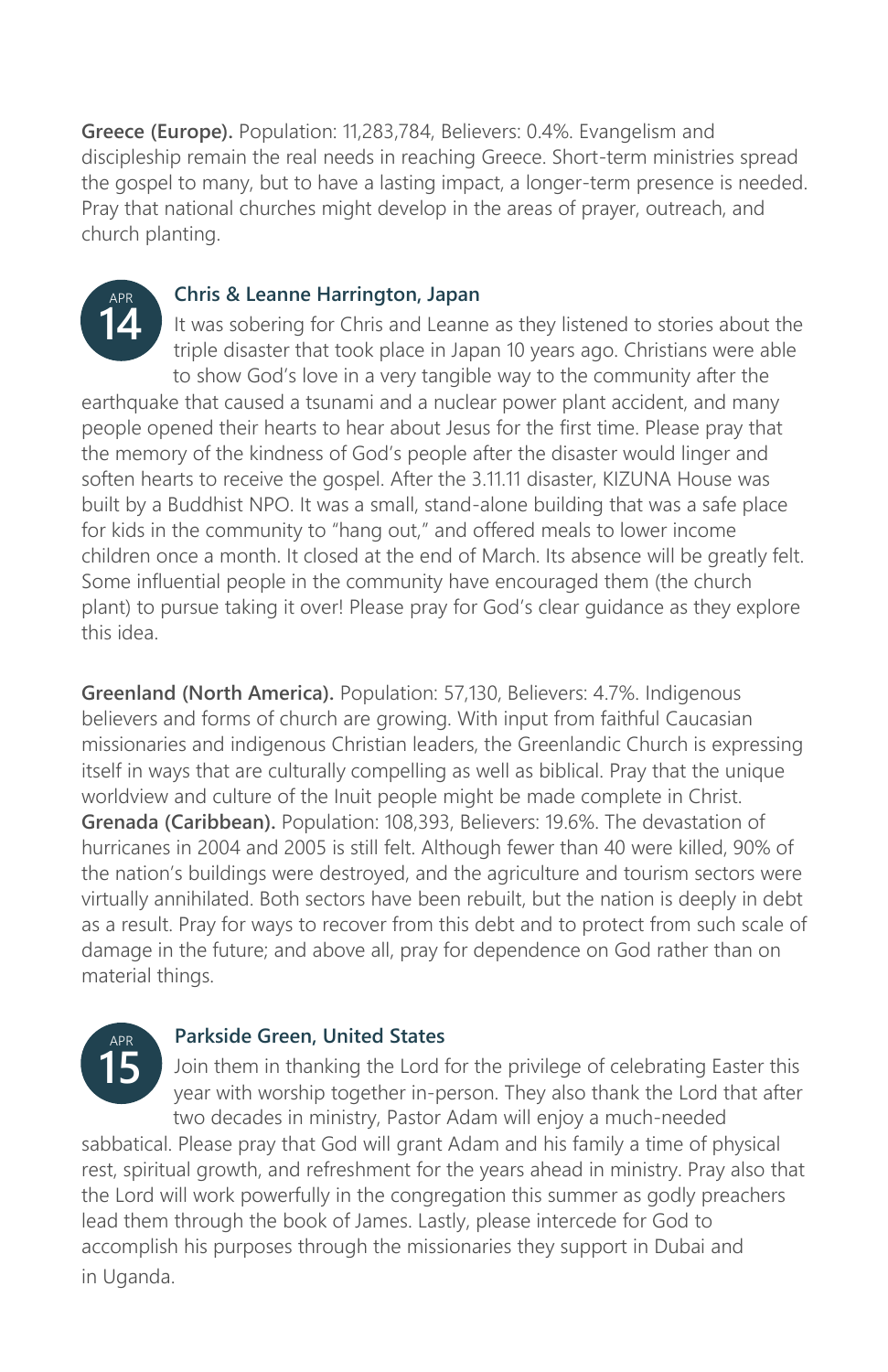**Greece (Europe).** Population: 11,283,784, Believers: 0.4%. Evangelism and discipleship remain the real needs in reaching Greece. Short-term ministries spread the gospel to many, but to have a lasting impact, a longer-term presence is needed. Pray that national churches might develop in the areas of prayer, outreach, and church planting.



### **Chris & Leanne Harrington, Japan**

It was sobering for Chris and Leanne as they listened to stories about the triple disaster that took place in Japan 10 years ago. Christians were able to show God's love in a very tangible way to the community after the earthquake that caused a tsunami and a nuclear power plant accident, and many people opened their hearts to hear about Jesus for the first time. Please pray that the memory of the kindness of God's people after the disaster would linger and soften hearts to receive the gospel. After the 3.11.11 disaster, KIZUNA House was built by a Buddhist NPO. It was a small, stand-alone building that was a safe place

for kids in the community to "hang out," and offered meals to lower income children once a month. It closed at the end of March. Its absence will be greatly felt. Some influential people in the community have encouraged them (the church plant) to pursue taking it over! Please pray for God's clear guidance as they explore this idea.

**Greenland (North America).** Population: 57,130, Believers: 4.7%. Indigenous believers and forms of church are growing. With input from faithful Caucasian missionaries and indigenous Christian leaders, the Greenlandic Church is expressing itself in ways that are culturally compelling as well as biblical. Pray that the unique worldview and culture of the Inuit people might be made complete in Christ. **Grenada (Caribbean).** Population: 108,393, Believers: 19.6%. The devastation of hurricanes in 2004 and 2005 is still felt. Although fewer than 40 were killed, 90% of the nation's buildings were destroyed, and the agriculture and tourism sectors were virtually annihilated. Both sectors have been rebuilt, but the nation is deeply in debt as a result. Pray for ways to recover from this debt and to protect from such scale of damage in the future; and above all, pray for dependence on God rather than on material things.



### **Parkside Green, United States**

Join them in thanking the Lord for the privilege of celebrating Easter this year with worship together in-person. They also thank the Lord that after two decades in ministry, Pastor Adam will enjoy a much-needed

sabbatical. Please pray that God will grant Adam and his family a time of physical rest, spiritual growth, and refreshment for the years ahead in ministry. Pray also that the Lord will work powerfully in the congregation this summer as godly preachers lead them through the book of James. Lastly, please intercede for God to accomplish his purposes through the missionaries they support in Dubai and in Uganda.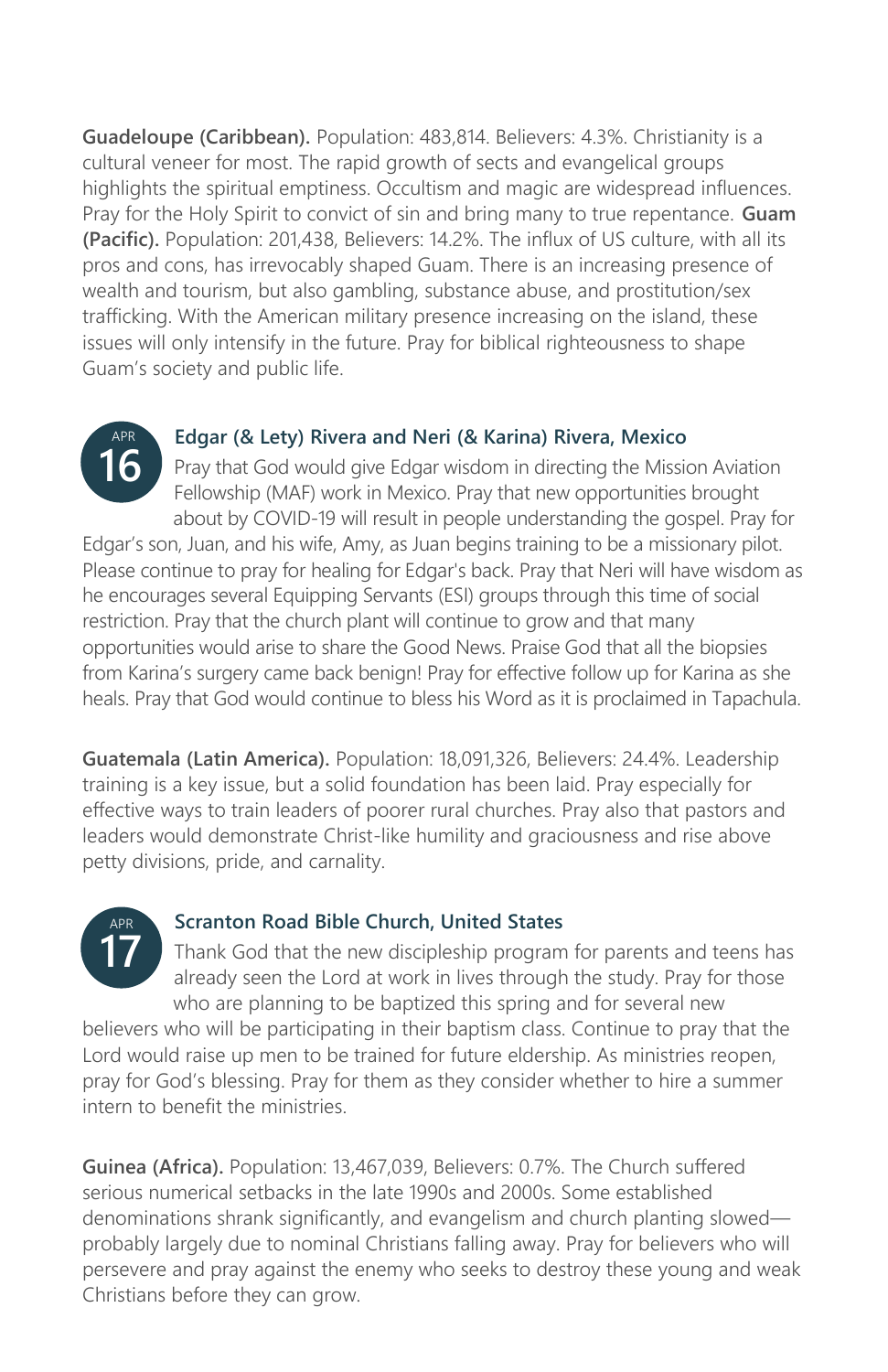**Guadeloupe (Caribbean).** Population: 483,814. Believers: 4.3%. Christianity is a cultural veneer for most. The rapid growth of sects and evangelical groups highlights the spiritual emptiness. Occultism and magic are widespread influences. Pray for the Holy Spirit to convict of sin and bring many to true repentance. **Guam (Pacific).** Population: 201,438, Believers: 14.2%. The influx of US culture, with all its pros and cons, has irrevocably shaped Guam. There is an increasing presence of wealth and tourism, but also gambling, substance abuse, and prostitution/sex trafficking. With the American military presence increasing on the island, these issues will only intensify in the future. Pray for biblical righteousness to shape Guam's society and public life.



### **Edgar (& Lety) Rivera and Neri (& Karina) Rivera, Mexico**

Pray that God would give Edgar wisdom in directing the Mission Aviation Fellowship (MAF) work in Mexico. Pray that new opportunities brought about by COVID-19 will result in people understanding the gospel. Pray for

Edgar's son, Juan, and his wife, Amy, as Juan begins training to be a missionary pilot. Please continue to pray for healing for Edgar's back. Pray that Neri will have wisdom as he encourages several Equipping Servants (ESI) groups through this time of social restriction. Pray that the church plant will continue to grow and that many opportunities would arise to share the Good News. Praise God that all the biopsies from Karina's surgery came back benign! Pray for effective follow up for Karina as she heals. Pray that God would continue to bless his Word as it is proclaimed in Tapachula.

**Guatemala (Latin America).** Population: 18,091,326, Believers: 24.4%. Leadership training is a key issue, but a solid foundation has been laid. Pray especially for effective ways to train leaders of poorer rural churches. Pray also that pastors and leaders would demonstrate Christ-like humility and graciousness and rise above petty divisions, pride, and carnality.



### **Scranton Road Bible Church, United States**

Thank God that the new discipleship program for parents and teens has already seen the Lord at work in lives through the study. Pray for those who are planning to be baptized this spring and for several new

believers who will be participating in their baptism class. Continue to pray that the Lord would raise up men to be trained for future eldership. As ministries reopen, pray for God's blessing. Pray for them as they consider whether to hire a summer intern to benefit the ministries.

**Guinea (Africa).** Population: 13,467,039, Believers: 0.7%. The Church suffered serious numerical setbacks in the late 1990s and 2000s. Some established denominations shrank significantly, and evangelism and church planting slowed probably largely due to nominal Christians falling away. Pray for believers who will persevere and pray against the enemy who seeks to destroy these young and weak Christians before they can grow.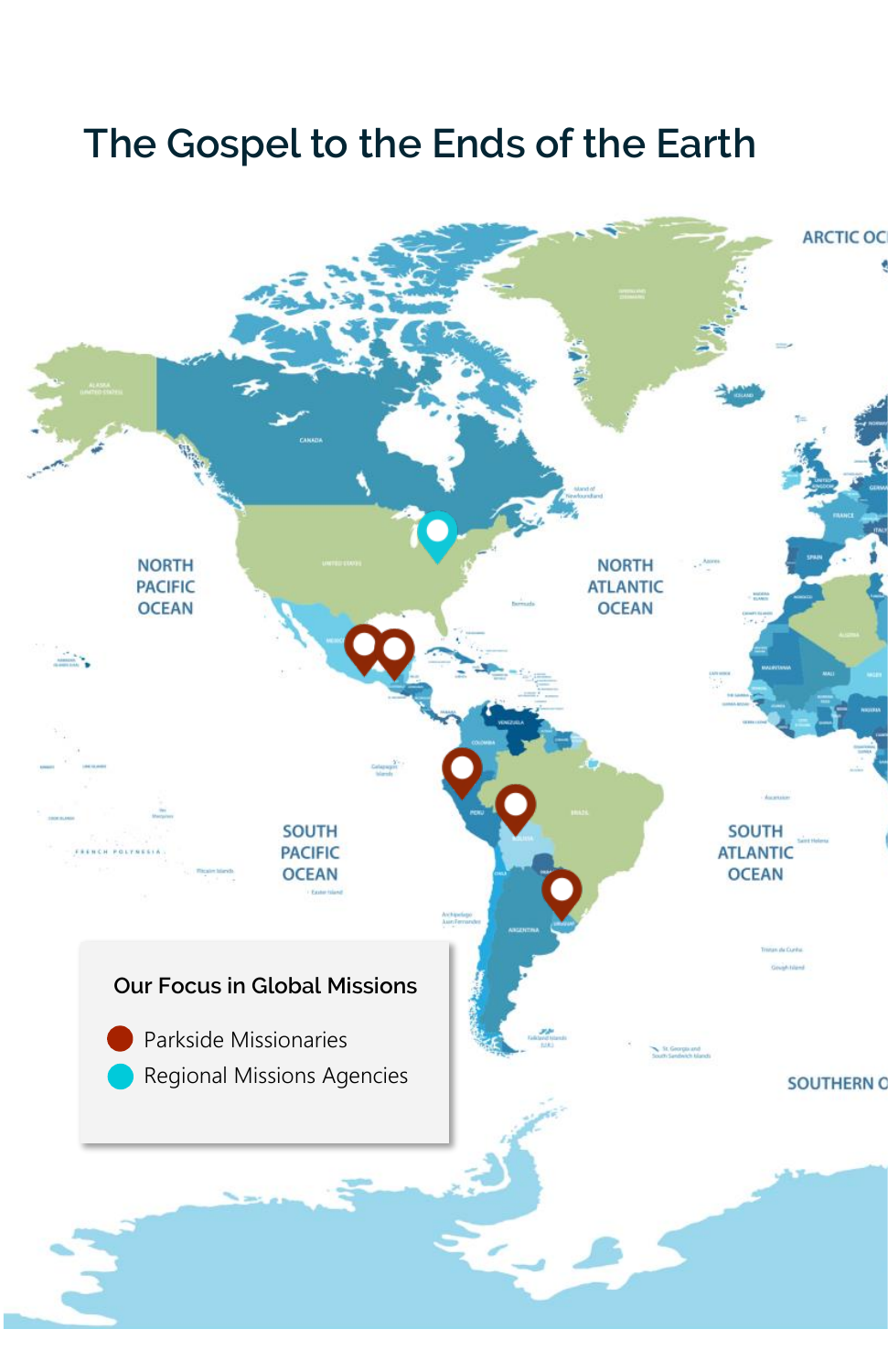# **The Gospel to the Ends of the Earth**

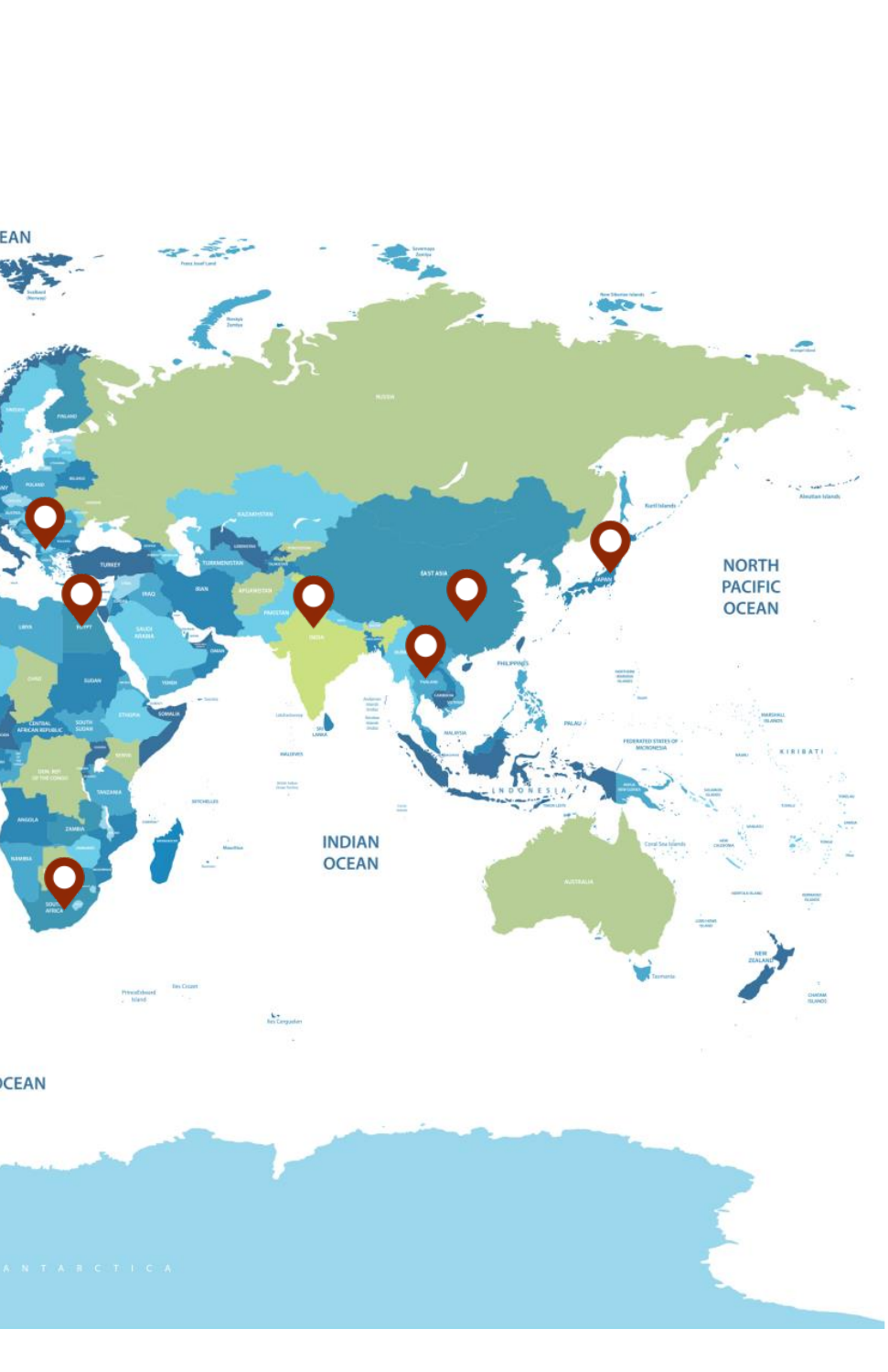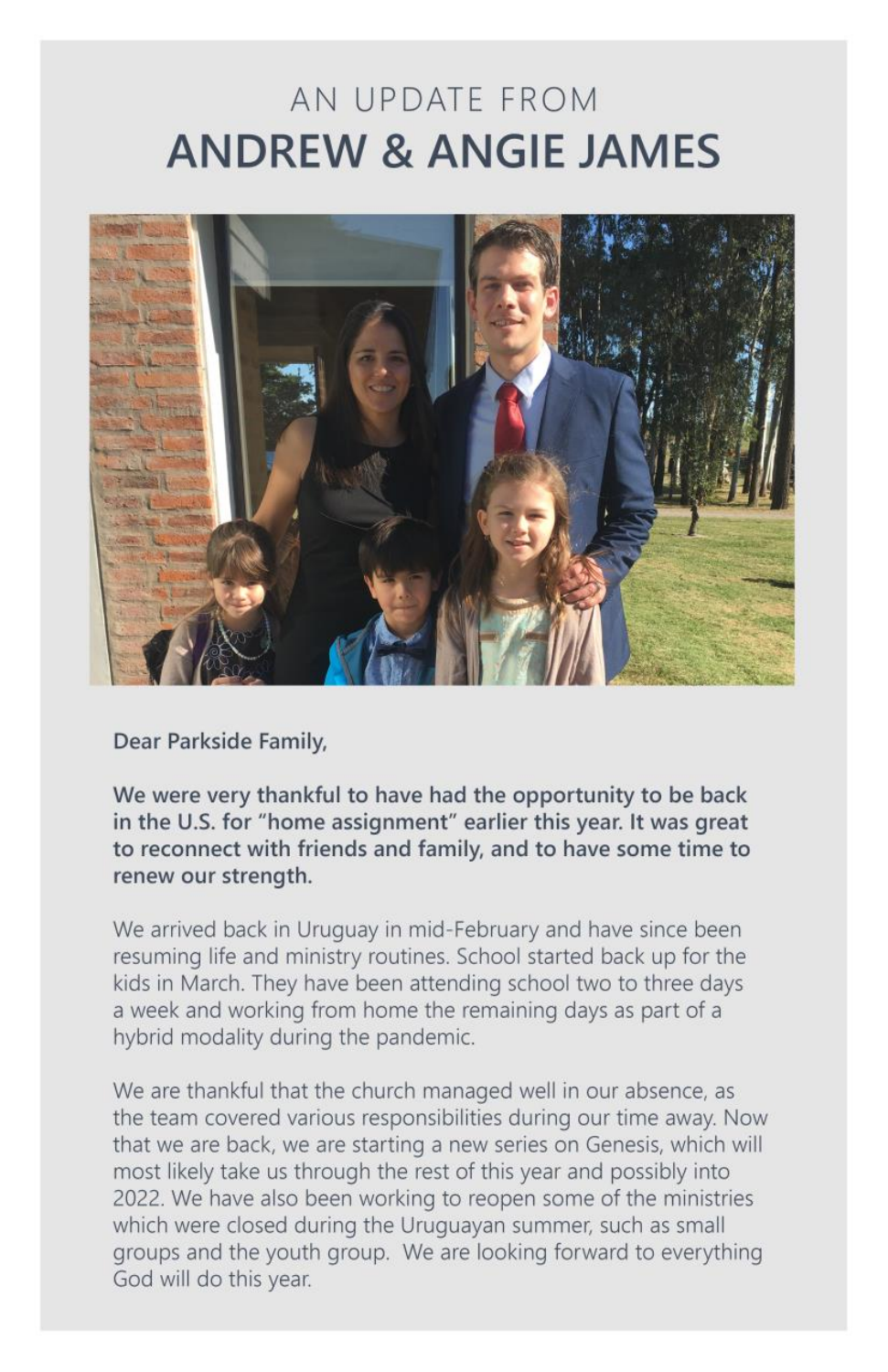# AN UPDATE FROM **ANDREW & ANGIE JAMES**



Dear Parkside Family,

We were very thankful to have had the opportunity to be back in the U.S. for "home assignment" earlier this year. It was great to reconnect with friends and family, and to have some time to renew our strength.

We arrived back in Uruguay in mid-February and have since been resuming life and ministry routines. School started back up for the kids in March. They have been attending school two to three days a week and working from home the remaining days as part of a hybrid modality during the pandemic.

We are thankful that the church managed well in our absence, as the team covered various responsibilities during our time away. Now that we are back, we are starting a new series on Genesis, which will most likely take us through the rest of this year and possibly into 2022. We have also been working to reopen some of the ministries which were closed during the Uruguayan summer, such as small groups and the youth group. We are looking forward to everything God will do this year.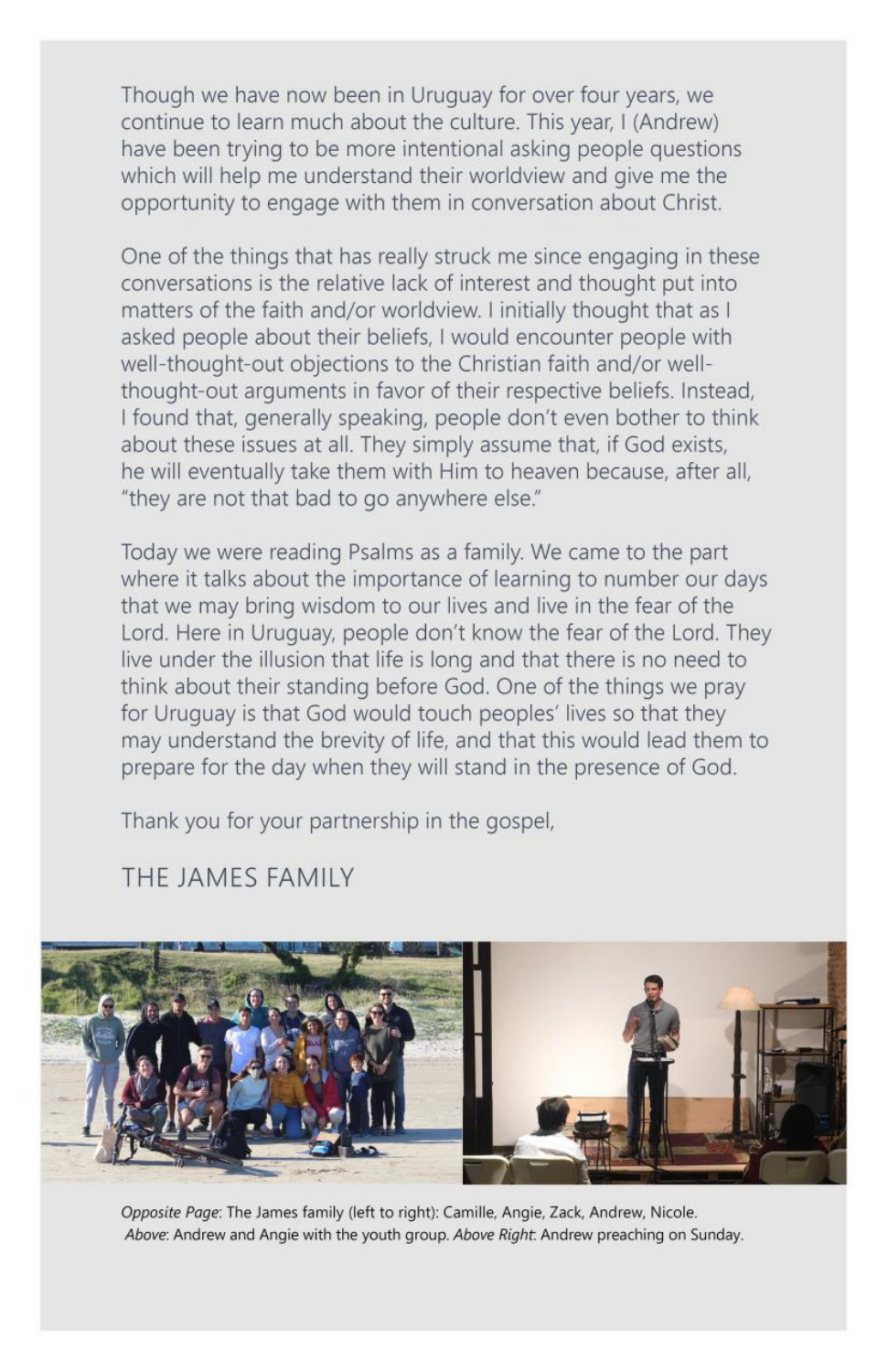Though we have now been in Uruguay for over four years, we continue to learn much about the culture. This year, I (Andrew) have been trying to be more intentional asking people questions which will help me understand their worldview and give me the opportunity to engage with them in conversation about Christ.

One of the things that has really struck me since engaging in these conversations is the relative lack of interest and thought put into matters of the faith and/or worldview. I initially thought that as I asked people about their beliefs, I would encounter people with well-thought-out objections to the Christian faith and/or wellthought-out arguments in favor of their respective beliefs. Instead, I found that, generally speaking, people don't even bother to think about these issues at all. They simply assume that, if God exists, he will eventually take them with Him to heaven because, after all, "they are not that bad to go anywhere else."

Today we were reading Psalms as a family. We came to the part where it talks about the importance of learning to number our days that we may bring wisdom to our lives and live in the fear of the Lord. Here in Uruguay, people don't know the fear of the Lord. They live under the illusion that life is long and that there is no need to think about their standing before God. One of the things we pray for Uruguay is that God would touch peoples' lives so that they may understand the brevity of life, and that this would lead them to prepare for the day when they will stand in the presence of God.

Thank you for your partnership in the gospel,

### THE JAMES FAMILY



Opposite Page: The James family (left to right): Camille, Angie, Zack, Andrew, Nicole. Above: Andrew and Angie with the youth group. Above Right: Andrew preaching on Sunday.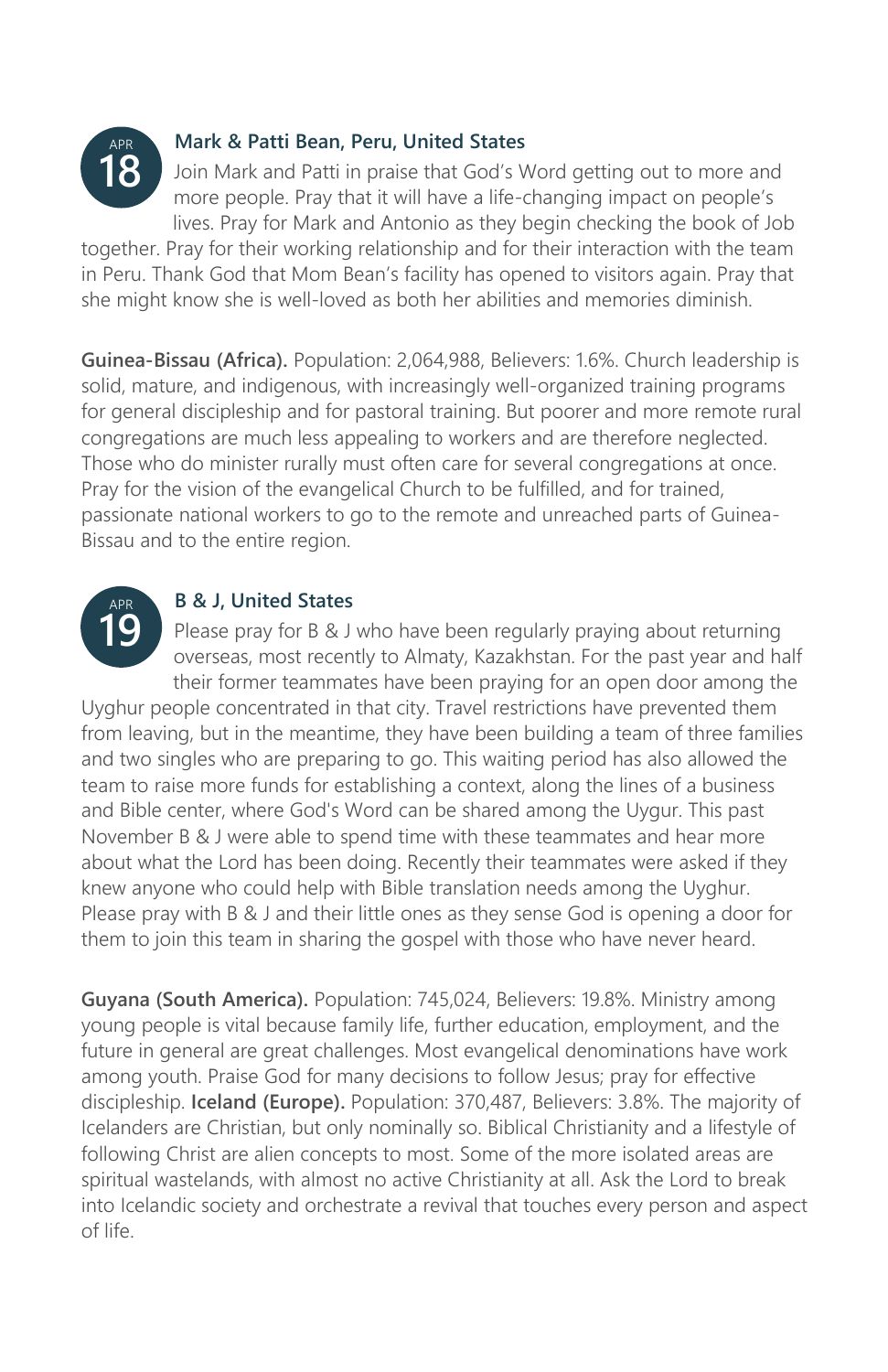

### **Mark & Patti Bean, Peru, United States**

Join Mark and Patti in praise that God's Word getting out to more and more people. Pray that it will have a life-changing impact on people's lives. Pray for Mark and Antonio as they begin checking the book of Job

together. Pray for their working relationship and for their interaction with the team in Peru. Thank God that Mom Bean's facility has opened to visitors again. Pray that she might know she is well-loved as both her abilities and memories diminish.

**Guinea-Bissau (Africa).** Population: 2,064,988, Believers: 1.6%. Church leadership is solid, mature, and indigenous, with increasingly well-organized training programs for general discipleship and for pastoral training. But poorer and more remote rural congregations are much less appealing to workers and are therefore neglected. Those who do minister rurally must often care for several congregations at once. Pray for the vision of the evangelical Church to be fulfilled, and for trained, passionate national workers to go to the remote and unreached parts of Guinea-Bissau and to the entire region.



### **B & J, United States**

Please pray for B & J who have been regularly praying about returning overseas, most recently to Almaty, Kazakhstan. For the past year and half their former teammates have been praying for an open door among the

Uyghur people concentrated in that city. Travel restrictions have prevented them from leaving, but in the meantime, they have been building a team of three families and two singles who are preparing to go. This waiting period has also allowed the team to raise more funds for establishing a context, along the lines of a business and Bible center, where God's Word can be shared among the Uygur. This past November B & J were able to spend time with these teammates and hear more about what the Lord has been doing. Recently their teammates were asked if they knew anyone who could help with Bible translation needs among the Uyghur. Please pray with B & J and their little ones as they sense God is opening a door for them to join this team in sharing the gospel with those who have never heard.

**Guyana (South America).** Population: 745,024, Believers: 19.8%. Ministry among young people is vital because family life, further education, employment, and the future in general are great challenges. Most evangelical denominations have work among youth. Praise God for many decisions to follow Jesus; pray for effective discipleship. **Iceland (Europe).** Population: 370,487, Believers: 3.8%. The majority of Icelanders are Christian, but only nominally so. Biblical Christianity and a lifestyle of following Christ are alien concepts to most. Some of the more isolated areas are spiritual wastelands, with almost no active Christianity at all. Ask the Lord to break into Icelandic society and orchestrate a revival that touches every person and aspect of life.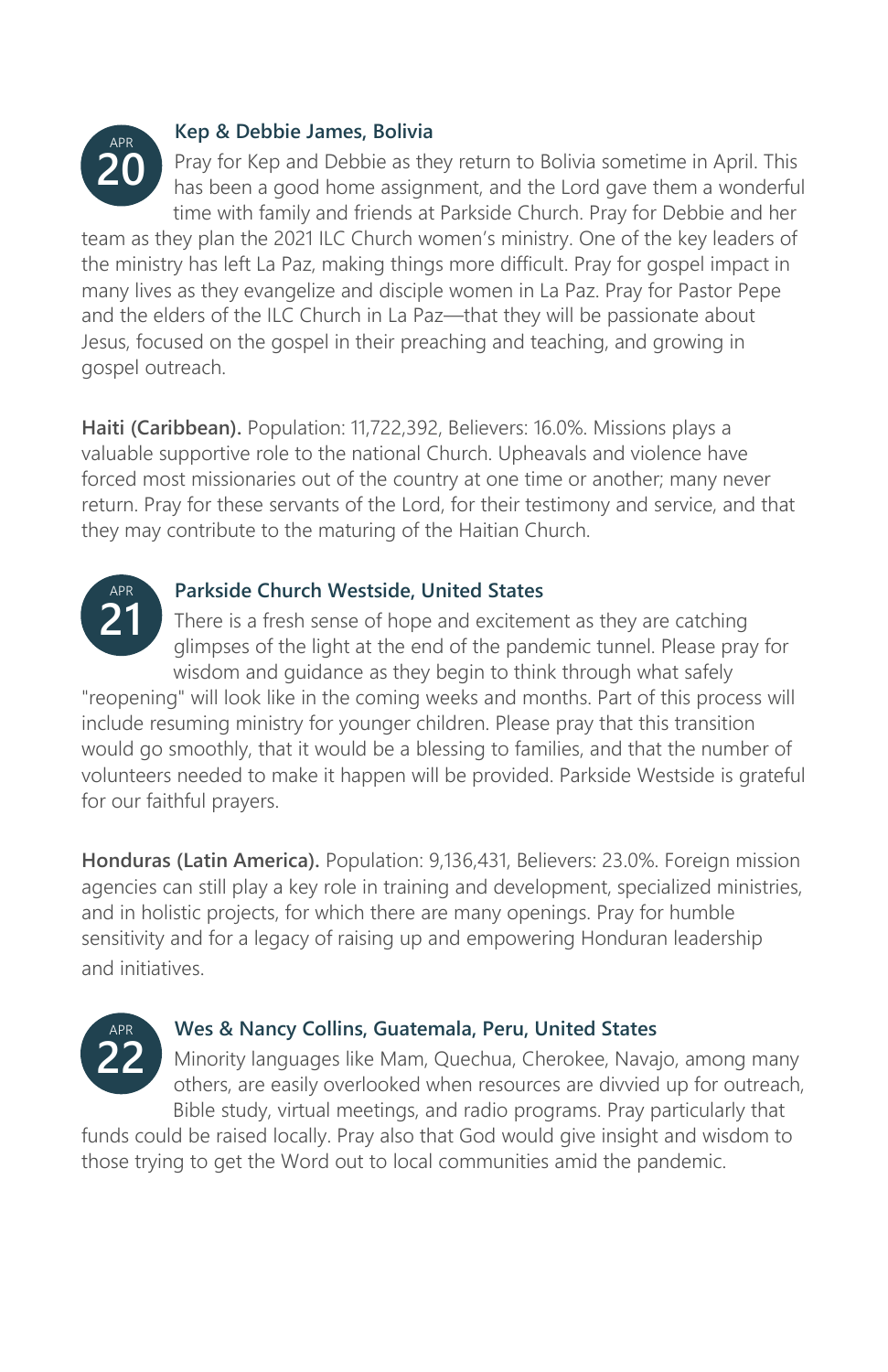

### **Kep & Debbie James, Bolivia**

Pray for Kep and Debbie as they return to Bolivia sometime in April. This has been a good home assignment, and the Lord gave them a wonderful time with family and friends at Parkside Church. Pray for Debbie and her

team as they plan the 2021 ILC Church women's ministry. One of the key leaders of the ministry has left La Paz, making things more difficult. Pray for gospel impact in many lives as they evangelize and disciple women in La Paz. Pray for Pastor Pepe and the elders of the ILC Church in La Paz—that they will be passionate about Jesus, focused on the gospel in their preaching and teaching, and growing in gospel outreach.

**Haiti (Caribbean).** Population: 11,722,392, Believers: 16.0%. Missions plays a valuable supportive role to the national Church. Upheavals and violence have forced most missionaries out of the country at one time or another; many never return. Pray for these servants of the Lord, for their testimony and service, and that they may contribute to the maturing of the Haitian Church.



### **Parkside Church Westside, United States**

There is a fresh sense of hope and excitement as they are catching glimpses of the light at the end of the pandemic tunnel. Please pray for wisdom and guidance as they begin to think through what safely

"reopening" will look like in the coming weeks and months. Part of this process will include resuming ministry for younger children. Please pray that this transition would go smoothly, that it would be a blessing to families, and that the number of volunteers needed to make it happen will be provided. Parkside Westside is grateful for our faithful prayers.

**Honduras (Latin America).** Population: 9,136,431, Believers: 23.0%. Foreign mission agencies can still play a key role in training and development, specialized ministries, and in holistic projects, for which there are many openings. Pray for humble sensitivity and for a legacy of raising up and empowering Honduran leadership and initiatives.



### **Wes & Nancy Collins, Guatemala, Peru, United States**

Minority languages like Mam, Quechua, Cherokee, Navajo, among many others, are easily overlooked when resources are divvied up for outreach, Bible study, virtual meetings, and radio programs. Pray particularly that

funds could be raised locally. Pray also that God would give insight and wisdom to those trying to get the Word out to local communities amid the pandemic.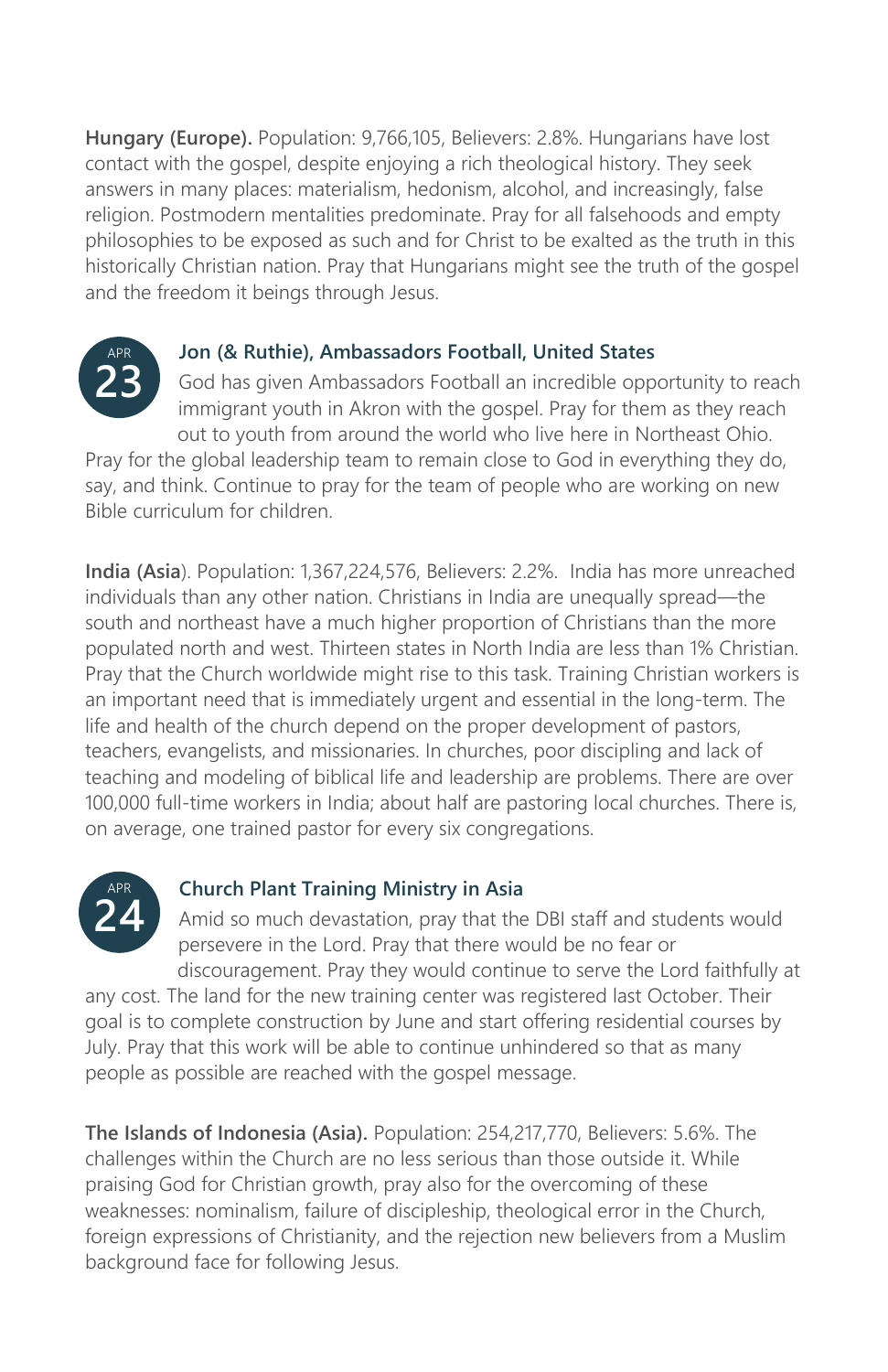**Hungary (Europe).** Population: 9,766,105, Believers: 2.8%. Hungarians have lost contact with the gospel, despite enjoying a rich theological history. They seek answers in many places: materialism, hedonism, alcohol, and increasingly, false religion. Postmodern mentalities predominate. Pray for all falsehoods and empty philosophies to be exposed as such and for Christ to be exalted as the truth in this historically Christian nation. Pray that Hungarians might see the truth of the gospel and the freedom it beings through Jesus.



### **Jon (& Ruthie), Ambassadors Football, United States**

God has given Ambassadors Football an incredible opportunity to reach immigrant youth in Akron with the gospel. Pray for them as they reach out to youth from around the world who live here in Northeast Ohio.

Pray for the global leadership team to remain close to God in everything they do, say, and think. Continue to pray for the team of people who are working on new Bible curriculum for children.

**India (Asia**). Population: 1,367,224,576, Believers: 2.2%. India has more unreached individuals than any other nation. Christians in India are unequally spread—the south and northeast have a much higher proportion of Christians than the more populated north and west. Thirteen states in North India are less than 1% Christian. Pray that the Church worldwide might rise to this task. Training Christian workers is an important need that is immediately urgent and essential in the long-term. The life and health of the church depend on the proper development of pastors, teachers, evangelists, and missionaries. In churches, poor discipling and lack of teaching and modeling of biblical life and leadership are problems. There are over 100,000 full-time workers in India; about half are pastoring local churches. There is, on average, one trained pastor for every six congregations.



### **Church Plant Training Ministry in Asia**

Amid so much devastation, pray that the DBI staff and students would persevere in the Lord. Pray that there would be no fear or discouragement. Pray they would continue to serve the Lord faithfully at

any cost. The land for the new training center was registered last October. Their goal is to complete construction by June and start offering residential courses by July. Pray that this work will be able to continue unhindered so that as many people as possible are reached with the gospel message.

**The Islands of Indonesia (Asia).** Population: 254,217,770, Believers: 5.6%. The challenges within the Church are no less serious than those outside it. While praising God for Christian growth, pray also for the overcoming of these weaknesses: nominalism, failure of discipleship, theological error in the Church, foreign expressions of Christianity, and the rejection new believers from a Muslim background face for following Jesus.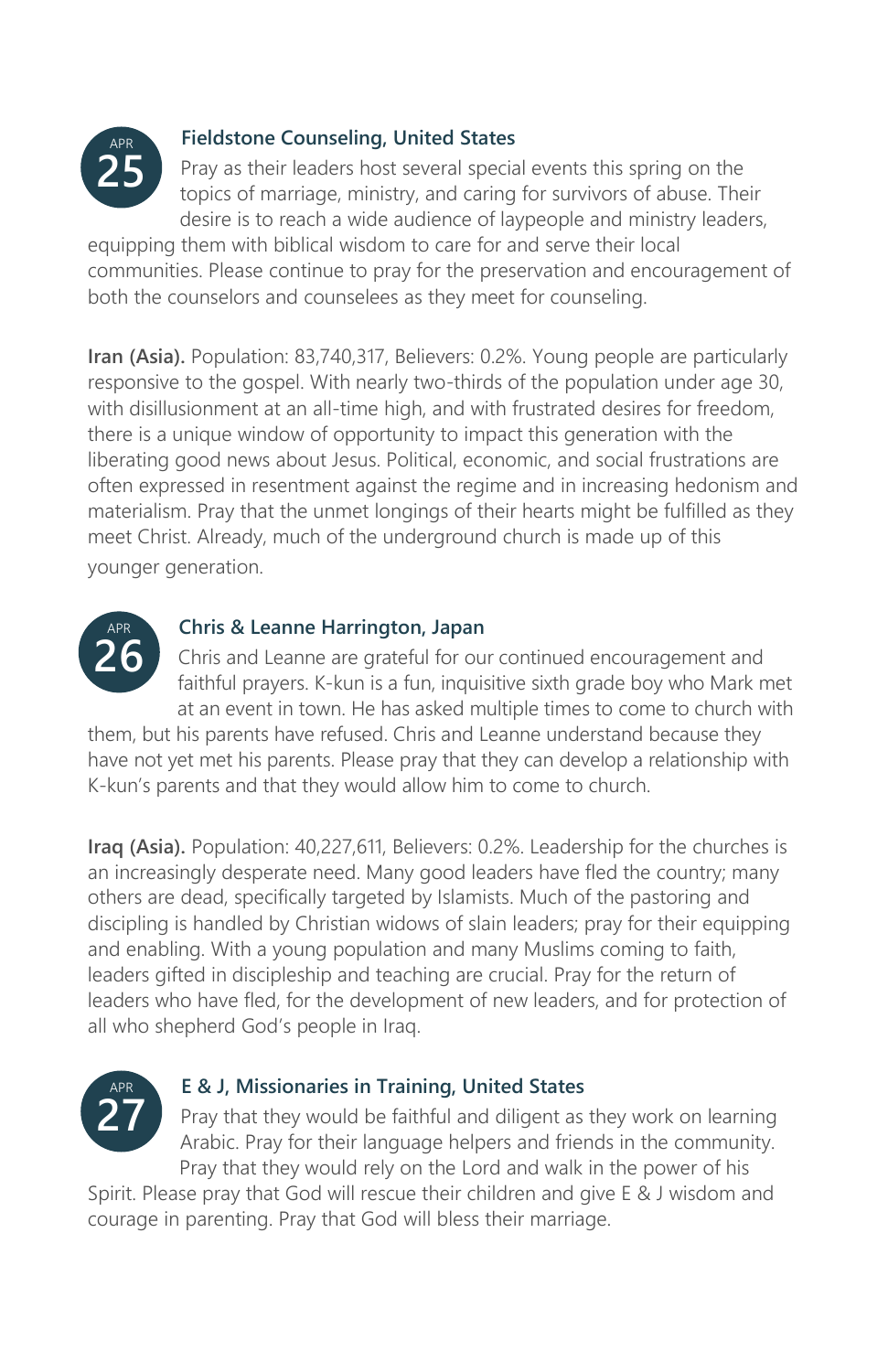

### **Fieldstone Counseling, United States**

Pray as their leaders host several special events this spring on the topics of marriage, ministry, and caring for survivors of abuse. Their desire is to reach a wide audience of laypeople and ministry leaders,

equipping them with biblical wisdom to care for and serve their local communities. Please continue to pray for the preservation and encouragement of both the counselors and counselees as they meet for counseling.

**Iran (Asia).** Population: 83,740,317, Believers: 0.2%. Young people are particularly responsive to the gospel. With nearly two-thirds of the population under age 30, with disillusionment at an all-time high, and with frustrated desires for freedom, there is a unique window of opportunity to impact this generation with the liberating good news about Jesus. Political, economic, and social frustrations are often expressed in resentment against the regime and in increasing hedonism and materialism. Pray that the unmet longings of their hearts might be fulfilled as they meet Christ. Already, much of the underground church is made up of this younger generation.



### **Chris & Leanne Harrington, Japan**

Chris and Leanne are grateful for our continued encouragement and faithful prayers. K-kun is a fun, inquisitive sixth grade boy who Mark met at an event in town. He has asked multiple times to come to church with

them, but his parents have refused. Chris and Leanne understand because they have not yet met his parents. Please pray that they can develop a relationship with K-kun's parents and that they would allow him to come to church.

**Iraq (Asia).** Population: 40,227,611, Believers: 0.2%. Leadership for the churches is an increasingly desperate need. Many good leaders have fled the country; many others are dead, specifically targeted by Islamists. Much of the pastoring and discipling is handled by Christian widows of slain leaders; pray for their equipping and enabling. With a young population and many Muslims coming to faith, leaders gifted in discipleship and teaching are crucial. Pray for the return of leaders who have fled, for the development of new leaders, and for protection of all who shepherd God's people in Iraq.



### **E & J, Missionaries in Training, United States**

Pray that they would be faithful and diligent as they work on learning Arabic. Pray for their language helpers and friends in the community. Pray that they would rely on the Lord and walk in the power of his

Spirit. Please pray that God will rescue their children and give E & J wisdom and courage in parenting. Pray that God will bless their marriage.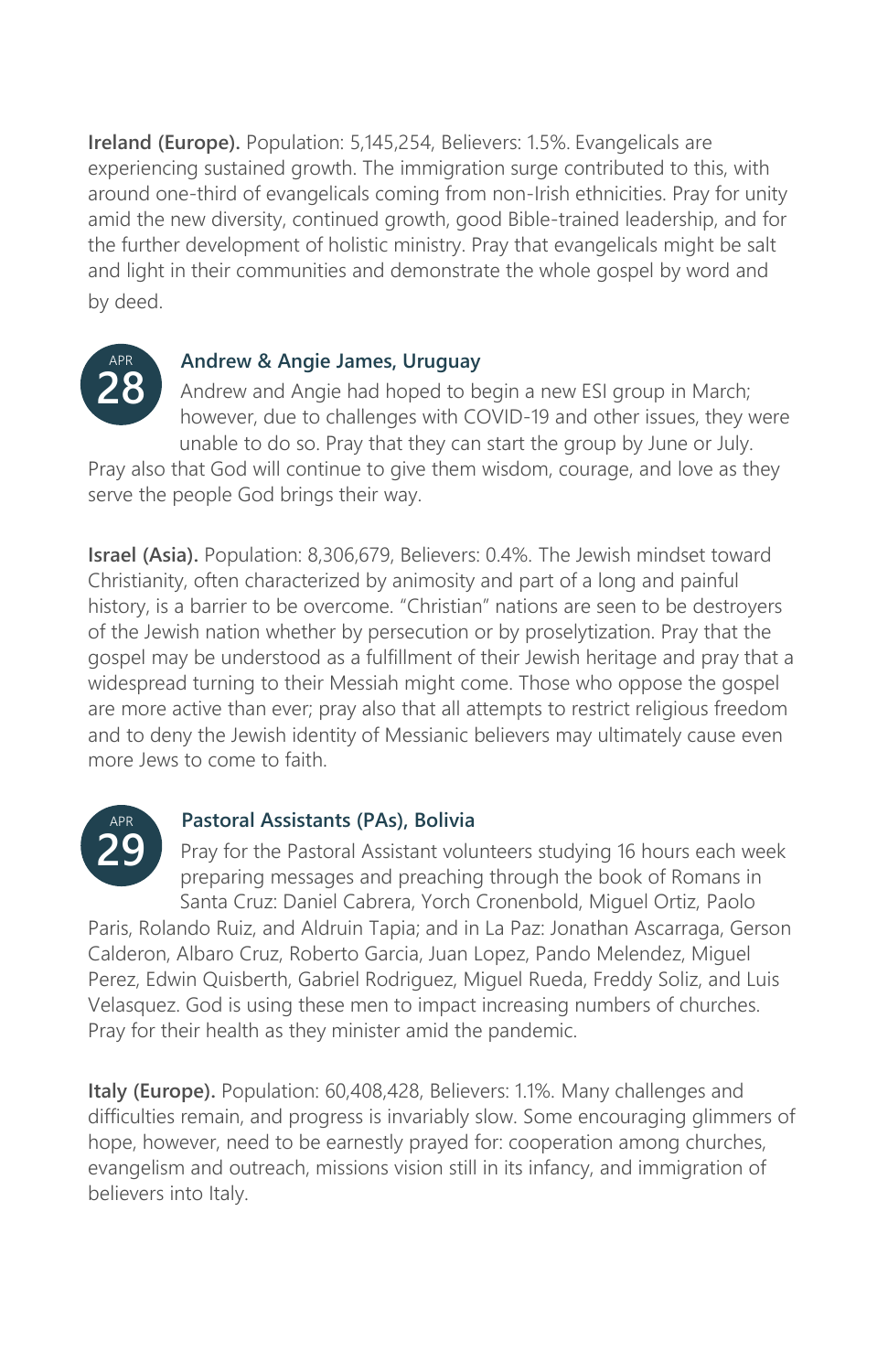**Ireland (Europe).** Population: 5,145,254, Believers: 1.5%. Evangelicals are experiencing sustained growth. The immigration surge contributed to this, with around one-third of evangelicals coming from non-Irish ethnicities. Pray for unity amid the new diversity, continued growth, good Bible-trained leadership, and for the further development of holistic ministry. Pray that evangelicals might be salt and light in their communities and demonstrate the whole gospel by word and by deed.



### **Andrew & Angie James, Uruguay**

Andrew and Angie had hoped to begin a new ESI group in March; however, due to challenges with COVID-19 and other issues, they were unable to do so. Pray that they can start the group by June or July.

Pray also that God will continue to give them wisdom, courage, and love as they serve the people God brings their way.

**Israel (Asia).** Population: 8,306,679, Believers: 0.4%. The Jewish mindset toward Christianity, often characterized by animosity and part of a long and painful history, is a barrier to be overcome. "Christian" nations are seen to be destroyers of the Jewish nation whether by persecution or by proselytization. Pray that the gospel may be understood as a fulfillment of their Jewish heritage and pray that a widespread turning to their Messiah might come. Those who oppose the gospel are more active than ever; pray also that all attempts to restrict religious freedom and to deny the Jewish identity of Messianic believers may ultimately cause even more Jews to come to faith



### **Pastoral Assistants (PAs), Bolivia**

Pray for the Pastoral Assistant volunteers studying 16 hours each week preparing messages and preaching through the book of Romans in Santa Cruz: Daniel Cabrera, Yorch Cronenbold, Miguel Ortiz, Paolo

Paris, Rolando Ruiz, and Aldruin Tapia; and in La Paz: Jonathan Ascarraga, Gerson Calderon, Albaro Cruz, Roberto Garcia, Juan Lopez, Pando Melendez, Miguel Perez, Edwin Quisberth, Gabriel Rodriguez, Miguel Rueda, Freddy Soliz, and Luis Velasquez. God is using these men to impact increasing numbers of churches. Pray for their health as they minister amid the pandemic.

**Italy (Europe).** Population: 60,408,428, Believers: 1.1%. Many challenges and difficulties remain, and progress is invariably slow. Some encouraging glimmers of hope, however, need to be earnestly prayed for: cooperation among churches, evangelism and outreach, missions vision still in its infancy, and immigration of believers into Italy.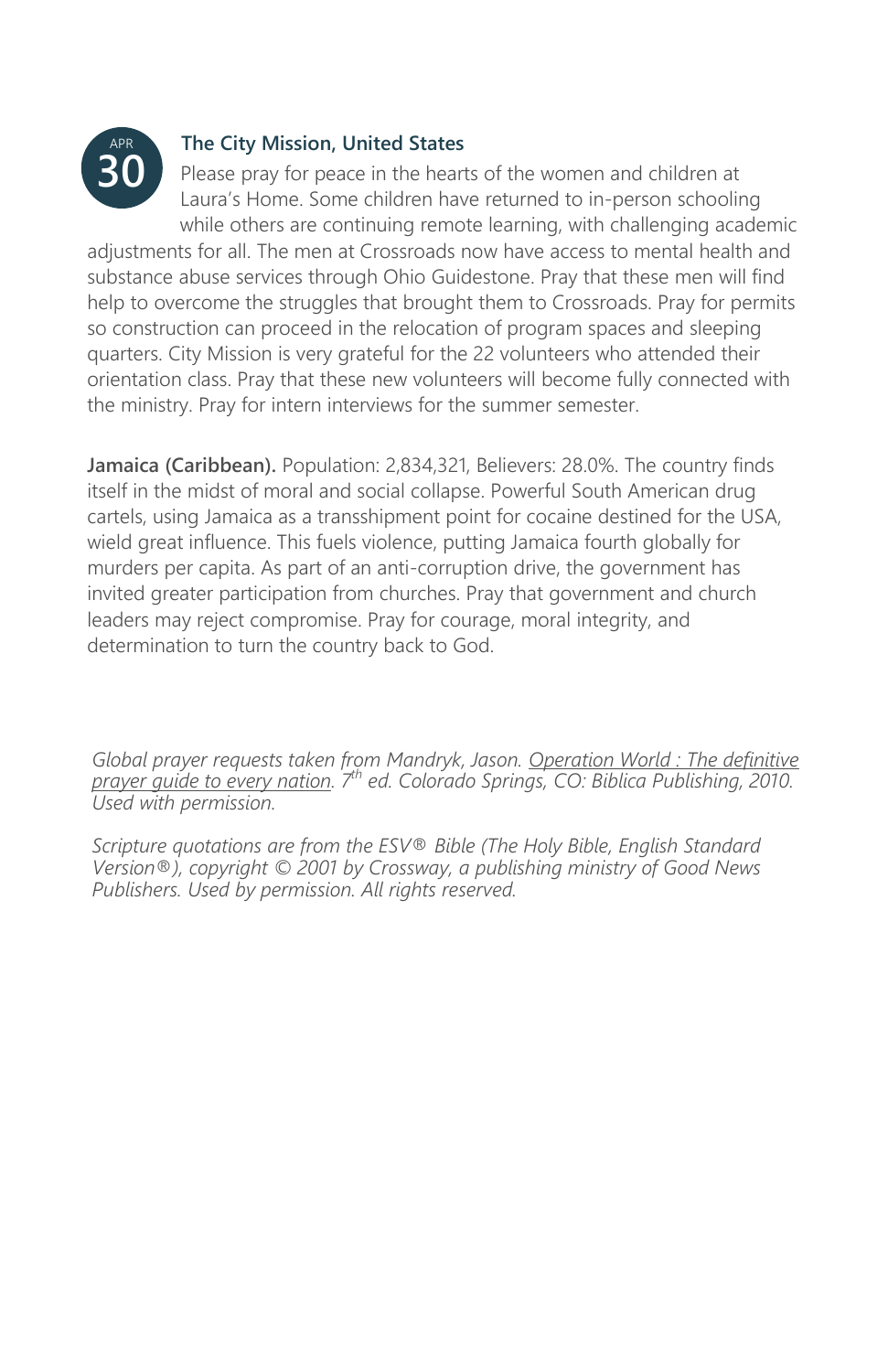

### **The City Mission, United States**

Please pray for peace in the hearts of the women and children at Laura's Home. Some children have returned to in-person schooling while others are continuing remote learning, with challenging academic

adjustments for all. The men at Crossroads now have access to mental health and substance abuse services through Ohio Guidestone. Pray that these men will find help to overcome the struggles that brought them to Crossroads. Pray for permits so construction can proceed in the relocation of program spaces and sleeping quarters. City Mission is very grateful for the 22 volunteers who attended their orientation class. Pray that these new volunteers will become fully connected with the ministry. Pray for intern interviews for the summer semester.

**Jamaica (Caribbean).** Population: 2,834,321, Believers: 28.0%. The country finds itself in the midst of moral and social collapse. Powerful South American drug cartels, using Jamaica as a transshipment point for cocaine destined for the USA, wield great influence. This fuels violence, putting Jamaica fourth globally for murders per capita. As part of an anti-corruption drive, the government has invited greater participation from churches. Pray that government and church leaders may reject compromise. Pray for courage, moral integrity, and determination to turn the country back to God.

*Global prayer requests taken from Mandryk, Jason. Operation World : The definitive prayer guide to every nation. 7th ed. Colorado Springs, CO: Biblica Publishing, 2010. Used with permission.* 

*Scripture quotations are from the ESV® Bible (The Holy Bible, English Standard Version®), copyright © 2001 by Crossway, a publishing ministry of Good News Publishers. Used by permission. All rights reserved.*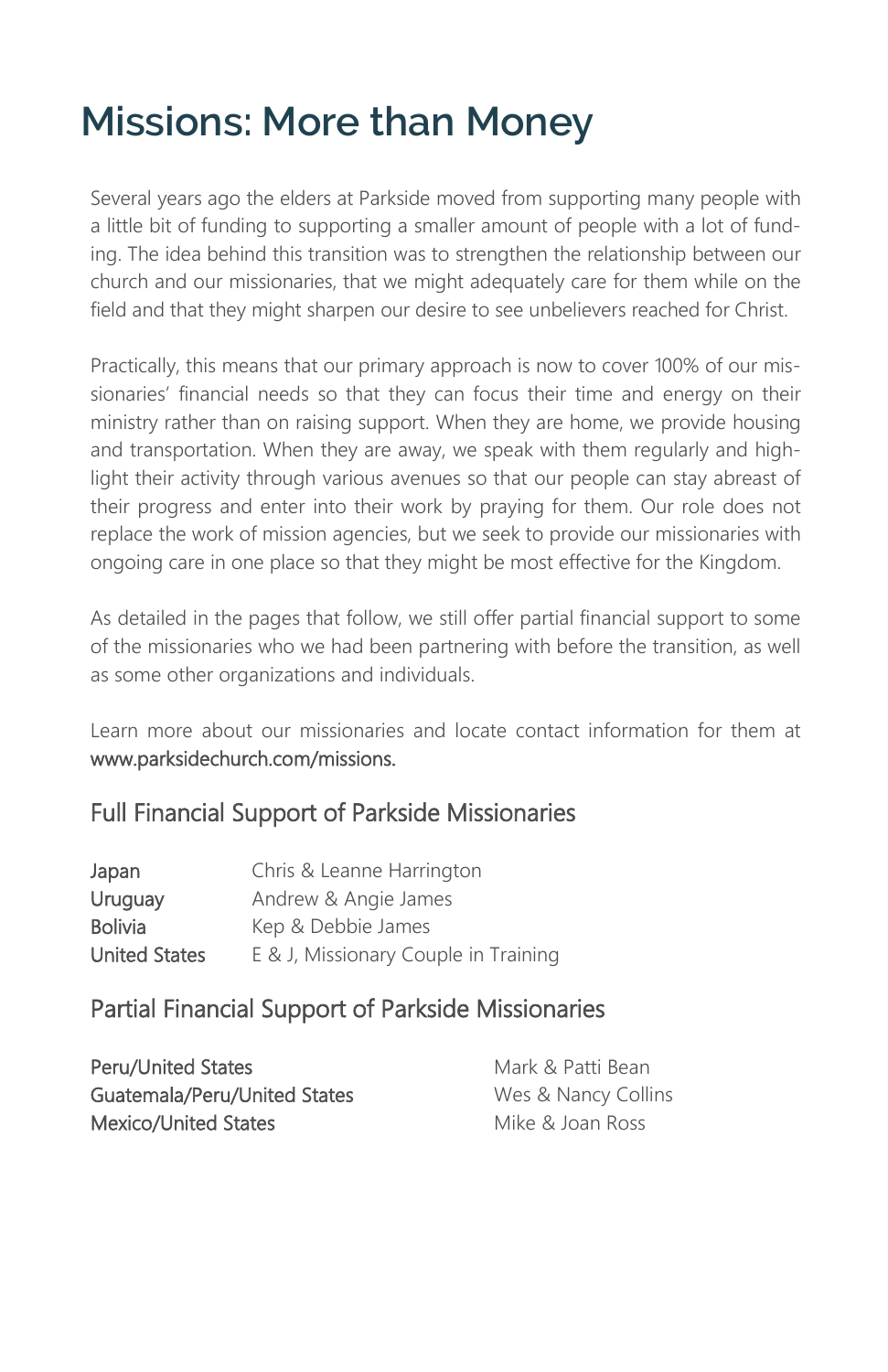# **Missions: More than Money**

Several years ago the elders at Parkside moved from supporting many people with a little bit of funding to supporting a smaller amount of people with a lot of funding. The idea behind this transition was to strengthen the relationship between our church and our missionaries, that we might adequately care for them while on the field and that they might sharpen our desire to see unbelievers reached for Christ.

Practically, this means that our primary approach is now to cover 100% of our missionaries' financial needs so that they can focus their time and energy on their ministry rather than on raising support. When they are home, we provide housing and transportation. When they are away, we speak with them regularly and highlight their activity through various avenues so that our people can stay abreast of their progress and enter into their work by praying for them. Our role does not replace the work of mission agencies, but we seek to provide our missionaries with ongoing care in one place so that they might be most effective for the Kingdom.

As detailed in the pages that follow, we still offer partial financial support to some of the missionaries who we had been partnering with before the transition, as well as some other organizations and individuals.

Learn more about our missionaries and locate contact information for them at www.parksidechurch.com/missions.

### Full Financial Support of Parkside Missionaries

| Japan                | Chris & Leanne Harrington            |
|----------------------|--------------------------------------|
| Uruguay              | Andrew & Angie James                 |
| <b>Bolivia</b>       | Kep & Debbie James                   |
| <b>United States</b> | E & J, Missionary Couple in Training |

### Partial Financial Support of Parkside Missionaries

| <b>Peru/United States</b>    | Mark & Patti Bean   |
|------------------------------|---------------------|
| Guatemala/Peru/United States | Wes & Nancy Collins |
| Mexico/United States         | Mike & Joan Ross    |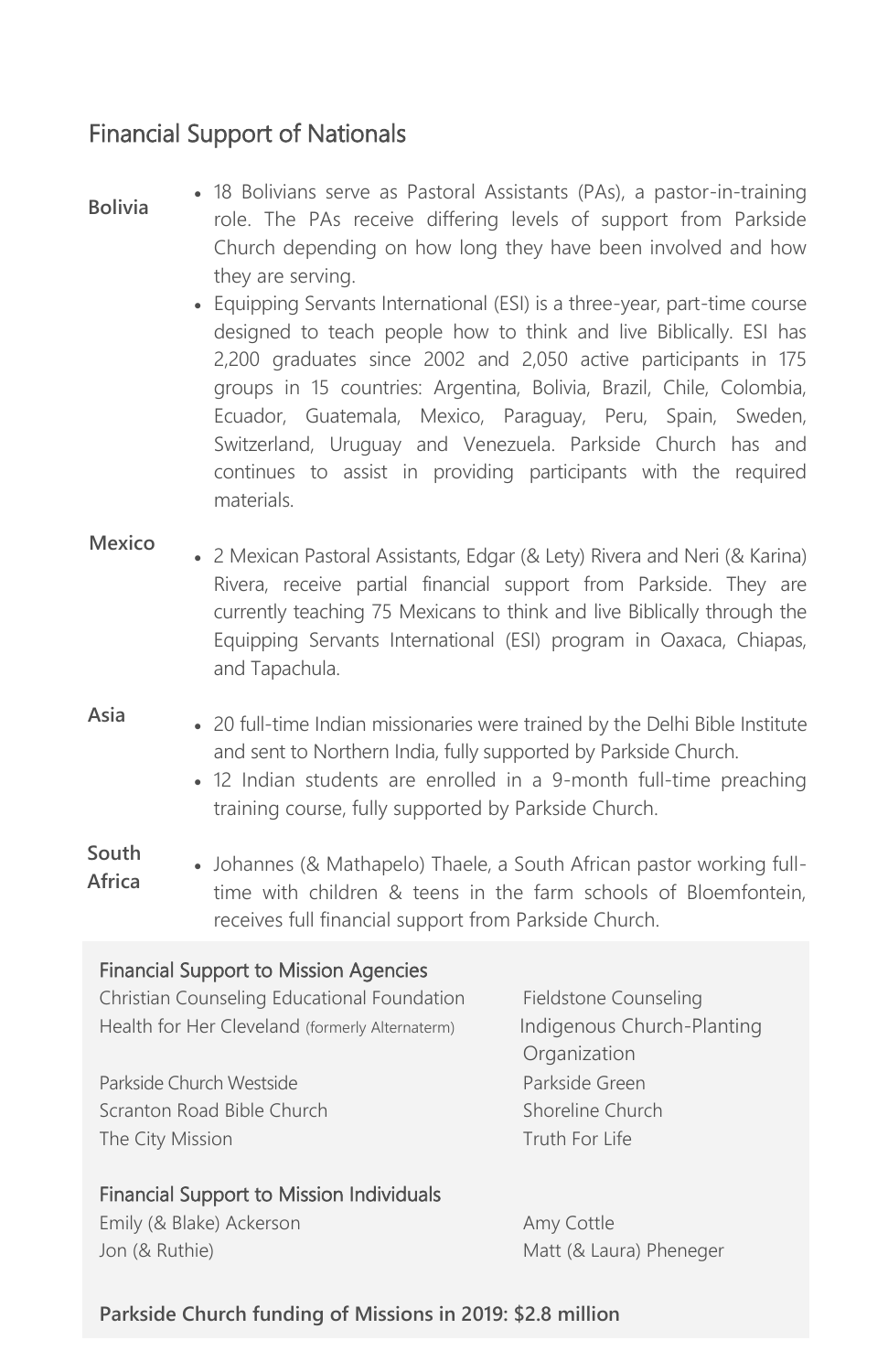### Financial Support of Nationals

#### **Bolivia**

• 18 Bolivians serve as Pastoral Assistants (PAs), a pastor-in-training role. The PAs receive differing levels of support from Parkside Church depending on how long they have been involved and how they are serving.

• Equipping Servants International (ESI) is a three-year, part-time course designed to teach people how to think and live Biblically. ESI has 2,200 graduates since 2002 and 2,050 active participants in 175 groups in 15 countries: Argentina, Bolivia, Brazil, Chile, Colombia, Ecuador, Guatemala, Mexico, Paraguay, Peru, Spain, Sweden, Switzerland, Uruguay and Venezuela. Parkside Church has and continues to assist in providing participants with the required materials.

#### **Mexico**

- 2 Mexican Pastoral Assistants, Edgar (& Lety) Rivera and Neri (& Karina) Rivera, receive partial financial support from Parkside. They are currently teaching 75 Mexicans to think and live Biblically through the Equipping Servants International (ESI) program in Oaxaca, Chiapas, and Tapachula.
- 20 full-time Indian missionaries were trained by the Delhi Bible Institute and sent to Northern India, fully supported by Parkside Church. **Asia**
	- 12 Indian students are enrolled in a 9-month full-time preaching training course, fully supported by Parkside Church.
- Johannes (& Mathapelo) Thaele, a South African pastor working fulltime with children & teens in the farm schools of Bloemfontein, receives full financial support from Parkside Church. **South Africa**

### Financial Support to Mission Agencies

Christian Counseling Educational Foundation Fieldstone Counseling Health for Her Cleveland (formerly Alternaterm) lndigenous Church-Planting

Parkside Church Westside **Parkside Church Westside** Scranton Road Bible Church Shoreline Church The City Mission The City Mission

Financial Support to Mission Individuals

Emily (& Blake) Ackerson Amy Cottle Jon (& Ruthie) Matt (& Laura) Pheneger

**Organization** 

### **Parkside Church funding of Missions in 2019: \$2.8 million**